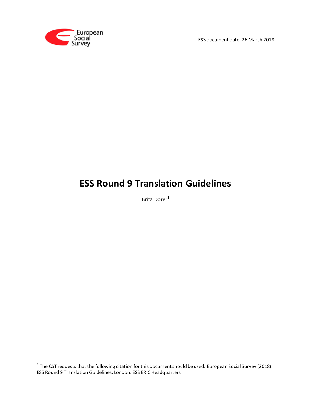

ESS document date: 26 March 2018

# **ESS Round 9 Translation Guidelines**

Brita Dorer<sup>1</sup>

 1 The CST requests that the following citation for this document should be used: European Social Survey (2018). ESS Round 9 Translation Guidelines. London: ESS ERIC Headquarters.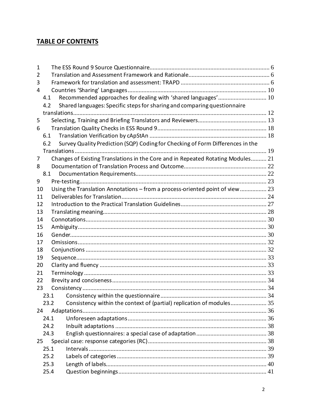## **TABLE OF CONTENTS**

| 1   |      |                                                                                  |  |
|-----|------|----------------------------------------------------------------------------------|--|
| 2   |      |                                                                                  |  |
| 3   |      |                                                                                  |  |
| 4   |      |                                                                                  |  |
| 4.1 |      | Recommended approaches for dealing with 'shared languages' 10                    |  |
| 4.2 |      | Shared languages: Specific steps for sharing and comparing questionnaire         |  |
|     |      |                                                                                  |  |
| 5   |      |                                                                                  |  |
| 6   |      |                                                                                  |  |
| 6.1 |      |                                                                                  |  |
| 6.2 |      | Survey Quality Prediction (SQP) Coding for Checking of Form Differences in the   |  |
|     |      |                                                                                  |  |
| 7   |      | Changes of Existing Translations in the Core and in Repeated Rotating Modules 21 |  |
| 8   |      |                                                                                  |  |
|     | 8.1  |                                                                                  |  |
| 9   |      |                                                                                  |  |
| 10  |      | Using the Translation Annotations - from a process-oriented point of view 23     |  |
| 11  |      |                                                                                  |  |
| 12  |      |                                                                                  |  |
| 13  |      |                                                                                  |  |
| 14  |      |                                                                                  |  |
| 15  |      |                                                                                  |  |
| 16  |      |                                                                                  |  |
| 17  |      |                                                                                  |  |
| 18  |      |                                                                                  |  |
| 19  |      |                                                                                  |  |
| 20  |      |                                                                                  |  |
| 21  |      |                                                                                  |  |
| 22  |      |                                                                                  |  |
| 23  |      |                                                                                  |  |
|     | 23.1 | Consistency within the questionnaire                                             |  |
|     | 23.2 |                                                                                  |  |
| 24  |      |                                                                                  |  |
|     | 24.1 |                                                                                  |  |
|     | 24.2 |                                                                                  |  |
|     | 24.3 |                                                                                  |  |
| 25  |      |                                                                                  |  |
|     | 25.1 |                                                                                  |  |
|     | 25.2 |                                                                                  |  |
|     | 25.3 |                                                                                  |  |
|     | 25.4 |                                                                                  |  |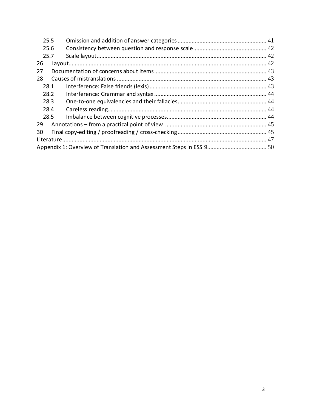| 25.5 |  |  |
|------|--|--|
| 25.6 |  |  |
| 25.7 |  |  |
| 26   |  |  |
| 27   |  |  |
| 28   |  |  |
| 28.1 |  |  |
| 28.2 |  |  |
| 28.3 |  |  |
| 28.4 |  |  |
| 28.5 |  |  |
| 29   |  |  |
| 30   |  |  |
|      |  |  |
|      |  |  |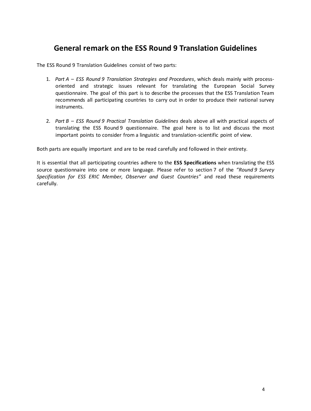## **General remark on the ESS Round 9 Translation Guidelines**

The ESS Round 9 Translation Guidelines consist of two parts:

- 1. *Part A – ESS Round 9 Translation Strategies and Procedures*, which deals mainly with processoriented and strategic issues relevant for translating the European Social Survey questionnaire. The goal of this part is to describe the processes that the ESS Translation Team recommends all participating countries to carry out in order to produce their national survey instruments.
- 2. *Part B – ESS Round 9 Practical Translation Guidelines* deals above all with practical aspects of translating the ESS Round 9 questionnaire. The goal here is to list and discuss the most important points to consider from a linguistic and translation-scientific point of view.

Both parts are equally important and are to be read carefully and followed in their entirety.

It is essential that all participating countries adhere to the **ESS Specifications** when translating the ESS source questionnaire into one or more language. Please refer to section 7 of the *"Round 9 Survey Specification for ESS ERIC Member, Observer and Guest Countries"* and read these requirements carefully.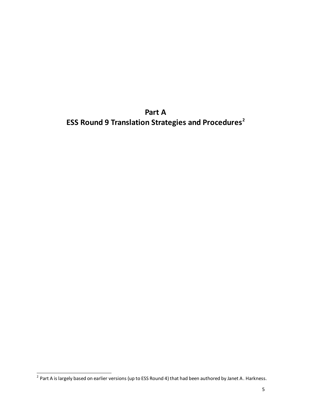**Part A ESS Round 9 Translation Strategies and Procedures<sup>2</sup>**

 2 Part A is largely based on earlier versions (up to ESS Round 4) that had been authored by Janet A. Harkness.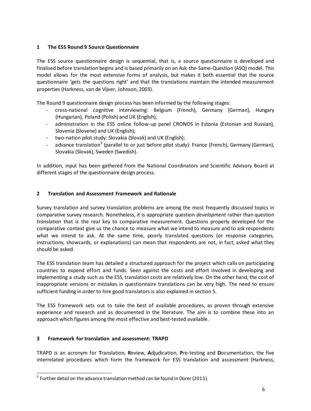## <span id="page-5-0"></span>**1 The ESS Round 9 Source Questionnaire**

The ESS source questionnaire design is sequential, that is, a source questionnaire is developed and finalised before translation begins and is based primarily on an Ask-the-Same-Question (ASQ) model. This model allows for the most extensive forms of analysis, but makes it both essential that the source questionnaire 'gets the questions right' and that the translations maintain the intended measurement properties (Harkness, van de Vijver, Johnson, 2003).

The Round 9 questionnaire design process has been informed by the following stages:

- cross-national cognitive interviewing: Belgium (French), Germany (German), Hungary (Hungarian), Poland (Polish) and UK (English);
- administration in the ESS online follow-up panel CRONOS in Estonia (Estonian and Russian), Slovenia (Slovene) and UK (English);
- two-nation pilot study: Slovakia (Slovak) and UK (English);
- advance translation<sup>3</sup> (parallel to or just before pilot study): France (French), Germany (German), Slovakia (Slovak), Sweden (Swedish).

In addition, input has been gathered from the National Coordinators and Scientific Advisory Board at different stages of the questionnaire design process.

#### <span id="page-5-1"></span>**2 Translation and Assessment Framework and Rationale**

Survey translation and survey translation problems are among the most frequently discussed topics in comparative survey research. Nonetheless, it is appropriate question *development* rather than question *translation* that is the real key to comparative measurement. Questions properly developed for the comparative context give us the chance to measure what we intend to measure and to ask respondents what we intend to ask. At the same time, poorly translated questions (or response categories, instructions, showcards, or explanations) can mean that respondents are not, in fact, asked what they should be asked.

The ESS translation team has detailed a structured approach for the project which calls on participating countries to expend effort and funds. Seen against the costs and effort involved in developing and implementing a study such as the ESS, translation costs are relatively low. On the other hand, the cost of inappropriate versions or mistakes in questionnaire translations can be very high. The need to ensure sufficient funding in order to hire good translators is also explained in section 5.

The ESS framework sets out to take the best of available procedures, as proven through extensive experience and research and as documented in the literature. The aim is to combine these into an approach which figures among the most effective and best-tested available.

#### <span id="page-5-2"></span>**3 Framework for translation and assessment: TRAPD**

-

TRAPD is an acronym for **T**ranslation, **R**eview, **A**djudication, **P**re-testing and **D**ocumentation, the five interrelated procedures which form the framework for ESS translation and assessment (Harkness,

 $3$  Further detail on the advance translation method can be found in Dorer (2015).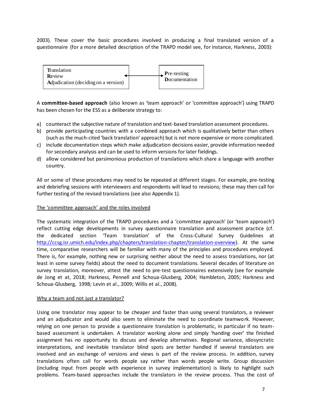2003). These cover the basic procedures involved in producing a final translated version of a questionnaire (for a more detailed description of the TRAPD model see, for instance, Harkness, 2003):



A **committee-based approach** (also known as 'team approach' or 'committee approach') using TRAPD has been chosen for the ESS as a deliberate strategy to:

- a) counteract the subjective nature of translation and text-based translation assessment procedures.
- b) provide participating countries with a combined approach which is qualitatively better than others (such as the much-cited 'back translation' approach) but is not more expensive or more complicated.
- c) include documentation steps which make adjudication decisions easier, provide information needed for secondary analysis and can be used to inform versions for later fieldings.
- d) allow considered but parsimonious production of translations which share a language with another country.

All or some of these procedures may need to be repeated at different stages. For example, pre-testing and debriefing sessions with interviewers and respondents will lead to revisions; these may then call for further testing of the revised translations (see also Appendix 1).

#### The 'committee approach' and the roles involved

The systematic integration of the TRAPD procedures and a 'committee approach' (or 'team approach') reflect cutting edge developments in survey questionnaire translation and assessment practice (cf. the dedicated section 'Team translation' of the Cross-Cultural Survey Guidelines at [http://ccsg.isr.umich.edu/index.php/chapters/translation-chapter/translation-overview\).](http://ccsg.isr.umich.edu/index.php/chapters/translation-chapter/translation-overview) At the same time, comparative researchers will be familiar with many of the principles and procedures employed. There is, for example, nothing new or surprising neither about the need to assess translations, nor (at least in some survey fields) about the need to document translations. Several decades of literature on survey translation, moreover, attest the need to pre-test questionnaires extensively (see for example de Jong et at, 2018; Harkness, Pennell and Schoua-Glusberg, 2004; Hambleton, 2005; Harkness and Schoua-Glusberg, 1998; Levin et al., 2009; Willis et al., 2008).

#### Why a team and not just a translator?

Using one translator may appear to be cheaper and faster than using several translators, a reviewer and an adjudicator and would also seem to eliminate the need to coordinate teamwork. However, relying on one person to provide a questionnaire translation is problematic, in particular if no teambased assessment is undertaken. A translator working alone and simply 'handing over' the finished assignment has no opportunity to discuss and develop alternatives. Regional variance, idiosyncratic interpretations, and inevitable translator blind spots are better handled if several translators are involved and an exchange of versions and views is part of the review process. In addition, survey translations often call for words people say rather than words people write. Group discussion (including input from people with experience in survey implementation) is likely to highlight such problems. Team-based approaches include the translators in the *review* process. Thus the cost of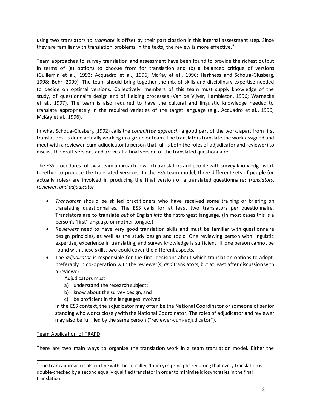using two translators to *translate* is offset by their participation in this internal assessment step. Since they are familiar with translation problems in the texts, the review is more effective.<sup>4</sup>

Team approaches to survey translation and assessment have been found to provide the richest output in terms of (a) options to choose from for translation and (b) a balanced critique of versions (Guillemin et al., 1993; Acquadro et al., 1996; McKay et al., 1996; Harkness and Schoua-Glusberg, 1998; Behr, 2009). The team should bring together the mix of skills and disciplinary expertise needed to decide on optimal versions. Collectively, members of this team must supply knowledge of the study, of questionnaire design and of fielding processes (Van de Vijver, Hambleton, 1996; Warnecke et al., 1997). The team is also required to have the cultural and linguistic knowledge needed to translate appropriately in the required varieties of the target language (e.g., Acquadro et al., 1996; McKay et al., 1996).

In what Schoua-Glusberg (1992) calls the *committee approach,* a good part of the work, apart from first translations, is done actually working in a group or team. The translators translate the work assigned and meet with a reviewer-cum-adjudicator (a person that fulfils both the roles of adjudicator and reviewer) to discuss the draft versions and arrive at a final version of the translated questionnaire.

The ESS procedures follow a team approach in which translators and people with survey knowledge work together to produce the translated versions. In the ESS team model, three different sets of people (or actually roles) are involved in producing the final version of a translated questionnaire: *translators, reviewer, and adjudicator*.

- *Translators* should be skilled practitioners who have received some training or briefing on translating questionnaires. The ESS calls for at least two translators per questionnaire. Translators are to translate *out* of English *into* their strongest language. (In most cases this is a person's 'first' language or mother tongue.)
- *Reviewers* need to have very good translation skills and must be familiar with questionnaire design principles, as well as the study design and topic. One reviewing person with linguistic expertise, experience in translating, and survey knowledge is sufficient. If one person cannot be found with these skills, two could cover the different aspects.
- The *adjudicator* is responsible for the final decisions about which translation options to adopt, preferably in co-operation with the reviewer(s) *and* translators, but at least after discussion with a reviewer.

Adjudicators must

- a) understand the research subject;
- b) know about the survey design, and
- c) be proficient in the languages involved.

In the ESS context, the adjudicator may often be the National Coordinator or someone of senior standing who works closely with the National Coordinator. The roles of adjudicator and reviewer may also be fulfilled by the same person ("reviewer-cum-adjudicator").

#### Team Application of TRAPD

 $\overline{a}$ 

There are two main ways to organise the translation work in a team translation model. Either the

 $^4$  The team approach is also in line with the so-called 'four eyes principle' requiring that every translation is double-checked by a second equally qualified translator in order to minimise idiosyncrasies in the final translation.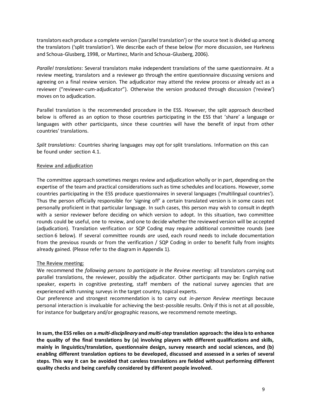translators each produce a complete version ('parallel translation') or the source text is divided up among the translators ('split translation'). We describe each of these below (for more discussion, see Harkness and Schoua-Glusberg, 1998, or Martinez, Marín and Schoua-Glusberg, 2006).

*Parallel translations*: Several translators make independent translations of the same questionnaire. At a review meeting, translators and a reviewer go through the entire questionnaire discussing versions and agreeing on a final review version. The adjudicator may attend the review process or already act as a reviewer ("reviewer-cum-adjudicator"). Otherwise the version produced through discussion ('review') moves on to adjudication.

Parallel translation is the recommended procedure in the ESS. However, the split approach described below is offered as an option to those countries participating in the ESS that 'share' a language or languages with other participants, since these countries will have the benefit of input from other countries' translations.

*Split translations*: Countries sharing languages may opt for split translations. Information on this can be found under section 4.1.

#### Review and adjudication

The committee approach sometimes merges review and adjudication wholly or in part, depending on the expertise of the team and practical considerations such as time schedules and locations. However, some countries participating in the ESS produce questionnaires in several languages ('multilingual countries'). Thus the person officially responsible for 'signing off' a certain translated version is in some cases not personally proficient in that particular language. In such cases, this person may wish to consult in depth with a senior reviewer before deciding on which version to adopt. In this situation, two committee rounds could be useful, one to review, and one to decide whether the reviewed version will be accepted (adjudication). Translation verification or SQP Coding may require additional committee rounds (see section 6 below). If several committee rounds *are* used, each round needs to include documentation from the previous rounds or from the verification / SQP Coding in order to benefit fully from insights already gained. (Please refer to the diagram in Appendix 1).

#### The Review meeting:

We recommend the *following persons to participate in the Review meeting*: all translators carrying out parallel translations, the reviewer, possibly the adjudicator. Other participants may be: English native speaker, experts in cognitive pretesting, staff members of the national survey agencies that are experienced with running surveys in the target country, topical experts.

Our preference and strongest recommendation is to carry out *in-person Review meetings* because personal interaction is invaluable for achieving the best-possible results. Only if this is not at all possible, for instance for budgetary and/or geographic reasons, we recommend remote meetings.

**In sum, the ESS relies on a** *multi-disciplinary* **and** *multi-step* **translation approach: the idea is to enhance the quality of the final translations by (a) involving players with different qualifications and skills, mainly in linguistics/translation, questionnaire design, survey research and social sciences, and (b) enabling different translation options to be developed, discussed and assessed in a series of several steps. This way it can be avoided that careless translations are fielded without performing different quality checks and being carefully considered by different people involved.**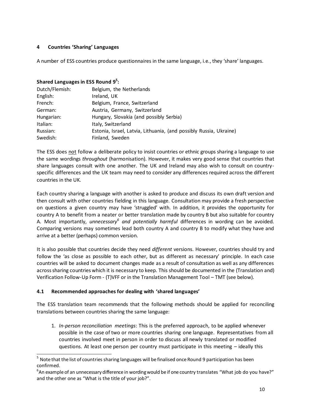## <span id="page-9-0"></span>**4 Countries 'Sharing' Languages**

A number of ESS countries produce questionnaires in the same language, i.e., they 'share' languages.

## **Shared Languages in ESS Round 9 5 :**

| Dutch/Flemish: | Belgium, the Netherlands                                           |
|----------------|--------------------------------------------------------------------|
| English:       | Ireland, UK                                                        |
| French:        | Belgium, France, Switzerland                                       |
| German:        | Austria, Germany, Switzerland                                      |
| Hungarian:     | Hungary, Slovakia (and possibly Serbia)                            |
| Italian:       | Italy, Switzerland                                                 |
| Russian:       | Estonia, Israel, Latvia, Lithuania, (and possibly Russia, Ukraine) |
| Swedish:       | Finland, Sweden                                                    |

The ESS does not follow a deliberate policy to insist countries or ethnic groups sharing a language to use the same wordings *throughout* (harmonisation). However, it makes very good sense that countries that share languages consult with one another. The UK and Ireland may also wish to consult on countryspecific differences and the UK team may need to consider any differences required across the different countries in the UK.

Each country sharing a language with another is asked to produce and discuss its own draft version and then consult with other countries fielding in this language. Consultation may provide a fresh perspective on questions a given country may have 'struggled' with. In addition, it provides the opportunity for country A to benefit from a neater or better translation made by country B but also suitable for country A. Most importantly, *unnecessary<sup>6</sup> and potentially harmful* differences in wording can be avoided. Comparing versions may sometimes lead both country A and country B to modify what they have and arrive at a better (perhaps) common version.

It is also possible that countries decide they need *different* versions. However, countries should try and follow the 'as close as possible to each other, but as different as necessary' principle. In each case countries will be asked to document changes made as a result of consultation as well as any differences across sharing countries which it is necessary to keep. This should be documented in the (Translation and) Verification Follow-Up Form - (T)VFF or in the Translation Management Tool – TMT (see below).

## <span id="page-9-1"></span>**4.1 Recommended approaches for dealing with 'shared languages'**

 $\overline{a}$ 

The ESS translation team recommends that the following methods should be applied for reconciling translations between countries sharing the same language:

1. *In-person reconciliation meetings*: This is the preferred approach, to be applied whenever possible in the case of two or more countries sharing one language. Representatives from all countries involved meet in person in order to discuss all newly translated or modified questions. At least one person per country must participate in this meeting – ideally this

<sup>&</sup>lt;sup>5</sup> Note that the list of countries sharing languages will be finalised once Round 9 participation has been confirmed.

<sup>6</sup> An example of an unnecessary difference in wording would be if one country translates "What job do you have?" and the other one as "What is the title of your job?".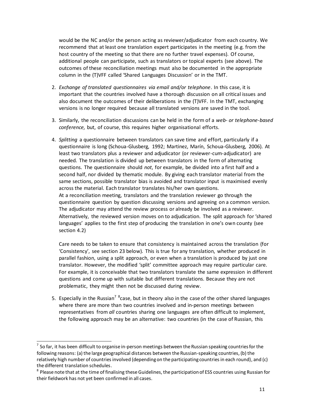would be the NC and/or the person acting as reviewer/adjudicator from each country. We recommend that at least one translation expert participates in the meeting (e.g. from the host country of the meeting so that there are no further travel expenses). Of course, additional people can participate, such as translators or topical experts (see above). The outcomes of these reconciliation meetings must also be documented in the appropriate column in the (T)VFF called 'Shared Languages Discussion' or in the TMT.

- 2. *Exchange of translated questionnaires via email and/or telephone*. In this case, it is important that the countries involved have a thorough discussion on all critical issues and also document the outcomes of their deliberations in the (T)VFF. In the TMT, exchanging versions is no longer required because all translated versions are saved in the tool.
- 3. Similarly, the reconciliation discussions can be held in the form of a *web- or telephone-based conference,* but, of course, this requires higher organisational efforts.
- 4. *Splitting* a questionnaire between translators can save time and effort, particularly if a questionnaire is long (Schoua-Glusberg, 1992; Martinez, Marín, Schoua-Glusberg, 2006). At least two translators plus a reviewer and adjudicator (or reviewer-cum-adjudicator) are needed. The translation is divided up between translators in the form of alternating questions. The questionnaire should *not*, for example, be divided into a first half and a second half, nor divided by thematic module. By giving each translator material from the same sections, possible translator bias is avoided and translator input is maximised evenly across the material. Each translator translates his/her own questions. At a reconciliation meeting, translators and the translation reviewer go through the questionnaire question by question discussing versions and agreeing on a common version. The adjudicator may attend the review process or already be involved as a reviewer. Alternatively, the reviewed version moves on to adjudication. The split approach for 'shared languages' applies to the first step of producing the translation in one's own county (see section 4.2)

Care needs to be taken to ensure that consistency is maintained across the translation (for 'Consistency', see section 23 below). This is true for any translation, whether produced in parallel fashion, using a split approach, or even when a translation is produced by just one translator. However, the modified 'split' committee approach may require particular care. For example, it is conceivable that two translators translate the same expression in different questions and come up with suitable but different translations. Because they are not problematic, they might then not be discussed during review.

5. Especially in the Russian<sup>7 8</sup>case, but in theory also in the case of the other shared languages where there are more than two countries involved and in-person meetings between representatives from *all* countries sharing one languages are often difficult to implement, the following approach may be an alternative: two countries (in the case of Russian, this

<u>.</u>

 $^7$  So far, it has been difficult to organise in-person meetings between the Russian speaking countries for the following reasons: (a) the large geographical distances between the Russian-speaking countries, (b) the relatively high number of countries involved (depending on the participating countries in each round), and (c) the different translation schedules.

<sup>&</sup>lt;sup>8</sup> Please note that at the time of finalising these Guidelines, the participation of ESS countries using Russian for their fieldwork has not yet been confirmed in all cases.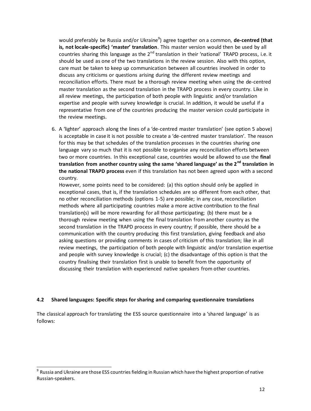would preferably be Russia and/or Ukraine<sup>9</sup>) agree together on a common, **de-centred (that is, not locale-specific) 'master' translation**. This master version would then be used by all countries sharing this language as the  $2<sup>nd</sup>$  translation in their 'national' TRAPD process, i.e. it should be used as one of the two translations in the review session. Also with this option, care must be taken to keep up communication between all countries involved in order to discuss any criticisms or questions arising during the different review meetings and reconciliation efforts. There must be a thorough review meeting when using the de-centred master translation as the second translation in the TRAPD process in every country. Like in all review meetings, the participation of both people with linguistic and/or translation expertise and people with survey knowledge is crucial. In addition, it would be useful if a representative from one of the countries producing the master version could participate in the review meetings.

6. A 'lighter' approach along the lines of a 'de-centred master translation' (see option 5 above) is acceptable in case it is not possible to create a 'de-centred master translation'. The reason for this may be that schedules of the translation processes in the countries sharing one language vary so much that it is not possible to organise any reconciliation efforts between two or more countries. In this exceptional case, countries would be allowed to use the **final translation from another country using the same 'shared language' as the 2nd translation in the national TRAPD process** even if this translation has not been agreed upon with a second country.

However, some points need to be considered: (a) this option should only be applied in exceptional cases, that is, if the translation schedules are so different from each other, that no other reconciliation methods (options 1-5) are possible; in any case, reconciliation methods where all participating countries make a more active contribution to the final translation(s) will be more rewarding for all those participating; (b) there must be a thorough review meeting when using the final translation from another country as the second translation in the TRAPD process in every country; if possible, there should be a communication with the country producing this first translation, giving feedback and also asking questions or providing comments in cases of criticism of this translation; like in all review meetings, the participation of both people with linguistic and/or translation expertise and people with survey knowledge is crucial; (c) the disadvantage of this option is that the country finalising their translation first is unable to benefit from the opportunity of discussing their translation with experienced native speakers from other countries.

#### <span id="page-11-0"></span>**4.2 Shared languages: Specific steps for sharing and comparing questionnaire translations**

The classical approach for translating the ESS source questionnaire into a 'shared language' is as follows:

-

 $^9$  Russia and Ukraine are those ESS countries fielding in Russian which have the highest proportion of native Russian-speakers.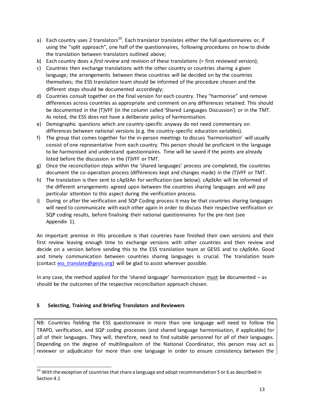- a) Each country uses 2 translators<sup>10</sup>. Each translator translates either the full questionnaires or, if using the "split approach", one half of the questionnaires, following procedures on how to divide the translation between translators outlined above;
- b) Each country does a *first review* and revision of these translations (= first reviewed version);
- c) Countries then exchange translations with the other country or countries sharing a given language; the arrangements between these countries will be decided on by the countries themselves; the ESS translation team should be informed of the procedure chosen and the different steps should be documented accordingly;
- d) Countries consult together on the final version for each country. They "harmonise" and remove differences across countries as appropriate and comment on any differences retained. This should be documented in the (T)VFF (in the column called 'Shared Languages Discussion') or in the TMT. As noted, the ESS does not have a deliberate policy of harmonisation.
- e) Demographic questions which are country-specific anyway do not need commentary on differences between national versions (e.g. the country-specific education variables).
- f) The group that comes together for the in-person meetings to discuss 'harmonisation' will usually consist of one representative from each country. This person should be proficient in the language to be harmonised and understand questionnaires. Time will be saved if the points are already listed before the discussion in the (T)VFF or TMT.
- g) Once the reconciliation steps within the 'shared languages' process are completed, the countries document the co-operation process (differences kept and changes made) in the (T)VFF or TMT.
- h) The translation is then sent to cApStAn for verification (see below). cApStAn will be informed of the different arrangements agreed upon between the countries sharing languages and will pay particular attention to this aspect during the verification process.
- i) During or after the verification and SQP Coding process it may be that countries sharing languages will need to communicate with each other again in order to discuss their respective verification or SQP coding results, before finalising their national questionnaires for the pre-test (see Appendix 1).

An important premise in this procedure is that countries have finished their own versions and their first review leaving enough time to exchange versions with other countries and then review and decide on a version before sending this to the ESS translation team at GESIS and to cApStAn. Good and timely communication between countries sharing languages is crucial. The translation team (contact ess translate@gesis.org) will be glad to assist wherever possible.

In any case, the method applied for the 'shared language' harmonization must be documented – as should be the outcomes of the respective reconciliation approach chosen.

#### <span id="page-12-0"></span>**5 Selecting, Training and Briefing Translators and Reviewers**

-

NB: Countries fielding the ESS questionnaire in more than one language will need to follow the TRAPD, verification, and SQP coding processes (and shared language harmonisation, if applicable) for *all* of their languages. They will, therefore, need to find suitable personnel for *all* of their languages. Depending on the degree of multilingualism of the National Coordinator, this person may act as reviewer or adjudicator for more than one language in order to ensure consistency between the

 $10$  With the exception of countries that share a language and adopt recommendation 5 or 6 as described in Section 4.1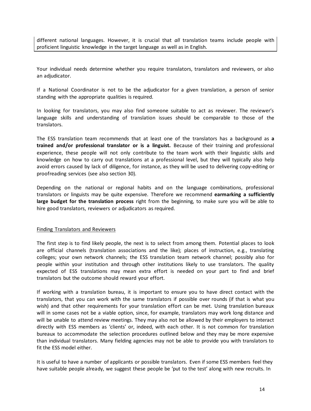different national languages. However, it is crucial that *all* translation teams include people with proficient linguistic knowledge in the target language as well as in English.

Your individual needs determine whether you require translators, translators and reviewers, or also an adjudicator.

If a National Coordinator is not to be the adjudicator for a given translation, a person of senior standing with the appropriate qualities is required.

In looking for translators, you may also find someone suitable to act as reviewer. The reviewer's language skills and understanding of translation issues should be comparable to those of the translators.

The ESS translation team recommends that at least one of the translators has a background as **a trained and/or professional translator or is a linguist.** Because of their training and professional experience, these people will not only contribute to the team work with their linguistic skills and knowledge on how to carry out translations at a professional level, but they will typically also help avoid errors caused by lack of diligence, for instance, as they will be used to delivering copy-editing or proofreading services (see also section 30).

Depending on the national or regional habits and on the language combinations, professional translators or linguists may be quite expensive. Therefore we recommend **earmarking a sufficiently large budget for the translation process** right from the beginning, to make sure you will be able to hire good translators, reviewers or adjudicators as required.

#### Finding Translators and Reviewers

The first step is to find likely people, the next is to select from among them. Potential places to look are official channels (translation associations and the like); places of instruction, e.g., translating colleges; your own network channels; the ESS translation team network channel; possibly also for people within your institution and through other institutions likely to use translators. The quality expected of ESS translations may mean extra effort is needed on your part to find and brief translators but the outcome should reward your effort.

If working with a translation bureau, it is important to ensure you to have direct contact with the translators, that you can work with the same translators if possible over rounds (if that is what you wish) and that other requirements for your translation effort can be met. Using translation bureaux will in some cases not be a viable option, since, for example, translators may work long distance and will be unable to attend review meetings. They may also not be allowed by their employers to interact directly with ESS members as 'clients' or, indeed, with each other. It is not common for translation bureaux to accommodate the selection procedures outlined below and they may be more expensive than individual translators. Many fielding agencies may not be able to provide you with translators to fit the ESS model either.

It is useful to have a number of applicants or possible translators*.* Even if some ESS members feel they have suitable people already, we suggest these people be 'put to the test' along with new recruits. In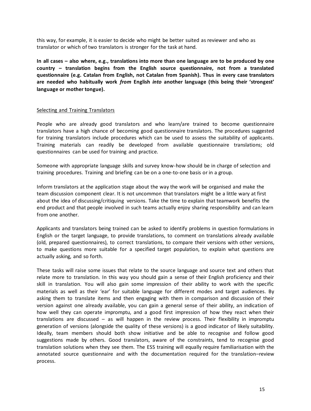this way, for example, it is easier to decide who might be better suited as reviewer and who as translator or which of two translators is stronger for the task at hand.

**In all cases – also where, e.g., translations into more than one language are to be produced by one country – translation begins from the English source questionnaire, not from a translated questionnaire (e.g. Catalan from English, not Catalan from Spanish). Thus in every case translators are needed who habitually work** *from* **English** *into* **another language (this being their 'strongest' language or mother tongue).**

#### Selecting and Training Translators

People who are already good translators and who learn/are trained to become questionnaire translators have a high chance of becoming good questionnaire translators. The procedures suggested for training translators include procedures which can be used to assess the suitability of applicants. Training materials can readily be developed from available questionnaire translations; old questionnaires can be used for training and practice.

Someone with appropriate language skills and survey know-how should be in charge of selection and training procedures. Training and briefing can be on a one-to-one basis or in a group.

Inform translators at the application stage about the way the work will be organised and make the team discussion component clear. It is not uncommon that translators might be a little wary at first about the idea of discussing/critiquing versions. Take the time to explain that teamwork benefits the end product and that people involved in such teams actually enjoy sharing responsibility and can learn from one another.

Applicants and translators being trained can be asked to identify problems in question formulations in English or the target language, to provide translations, to comment on translations already available (old, prepared questionnaires), to correct translations, to compare their versions with other versions, to make questions more suitable for a specified target population, to explain what questions are actually asking, and so forth.

These tasks will raise some issues that relate to the source language and source text and others that relate more to translation. In this way you should gain a sense of their English proficiency and their skill in translation. You will also gain some impression of their ability to work with the specific materials as well as their 'ear' for suitable language for different modes and target audiences. By asking them to translate items and then engaging with them in comparison and discussion of their version against one already available, you can gain a general sense of their ability, an indication of how well they can operate impromptu, and a good first impression of how they react when their translations are discussed – as will happen in the review process. Their flexibility in impromptu generation of versions (alongside the quality of these versions) is a good indicator of likely suitability. Ideally, team members should both show initiative and be able to recognise and follow good suggestions made by others. Good translators, aware of the constraints, tend to recognise good translation solutions when they see them. The ESS training will equally require familiarisation with the annotated source questionnaire and with the documentation required for the translation–review process.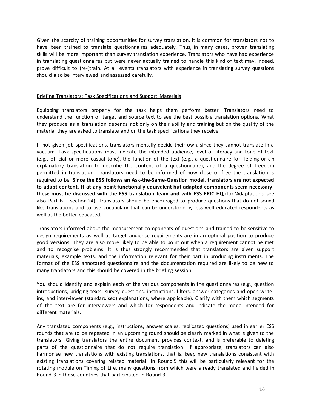Given the scarcity of training opportunities for survey translation, it is common for translators not to have been trained to translate questionnaires adequately. Thus, in many cases, proven translating skills will be more important than survey translation experience. Translators who have had experience in translating questionnaires but were never actually trained to handle this kind of text may, indeed, prove difficult to (re-)train. At all events translators with experience in translating survey questions should also be interviewed and assessed carefully.

#### Briefing Translators: Task Specifications and Support Materials

Equipping translators properly for the task helps them perform better. Translators need to understand the function of target and source text to see the best possible translation options. What they produce as a translation depends not only on their ability and training but on the quality of the material they are asked to translate and on the task specifications they receive.

If not given job specifications, translators mentally decide their own, since they cannot translate in a vacuum. Task specifications must indicate the intended audience, level of literacy and tone of text (e.g., official or more casual tone), the function of the text (e.g., a questionnaire for fielding or an explanatory translation to describe the content of a questionnaire), and the degree of freedom permitted in translation. Translators need to be informed of how close or free the translation is required to be. **Since the ESS follows an Ask-the-Same-Question model, translators are not expected to adapt content. If at any point functionally equivalent but adapted components seem necessary, these must be discussed with the ESS translation team and with ESS ERIC HQ** (for 'Adaptations' see also Part B – section 24)**.** Translators should be encouraged to produce questions that do not sound like translations and to use vocabulary that can be understood by less well-educated respondents as well as the better educated.

Translators informed about the measurement components of questions and trained to be sensitive to design requirements as well as target audience requirements are in an optimal position to produce good versions. They are also more likely to be able to point out when a requirement cannot be met and to recognise problems. It is thus strongly recommended that translators are given support materials, example texts, and the information relevant for their part in producing instruments. The format of the ESS annotated questionnaire and the documentation required are likely to be new to many translators and this should be covered in the briefing session.

You should identify and explain each of the various components in the questionnaires (e.g., question introductions, bridging texts, survey questions, instructions, filters, answer categories and open writeins, and interviewer (standardised) explanations, where applicable). Clarify with them which segments of the text are for interviewers and which for respondents and indicate the mode intended for different materials.

Any translated components (e.g., instructions, answer scales, replicated questions) used in earlier ESS rounds that are to be repeated in an upcoming round should be clearly marked in what is given to the translators. Giving translators the entire document provides context, and is preferable to deleting parts of the questionnaire that do not require translation. If appropriate, translators can also harmonise new translations with existing translations, that is, keep new translations consistent with existing translations covering related material. In Round 9 this will be particularly relevant for the rotating module on Timing of Life, many questions from which were already translated and fielded in Round 3 in those countries that participated in Round 3.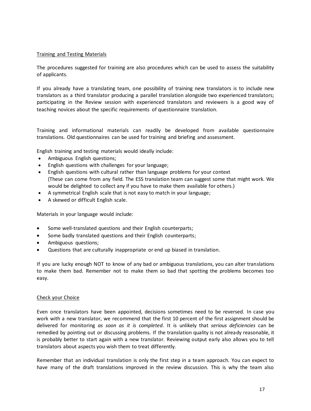#### Training and Testing Materials

The procedures suggested for training are also procedures which can be used to assess the suitability of applicants.

If you already have a translating team, one possibility of training new translators is to include new translators as a third translator producing a parallel translation alongside two experienced translators; participating in the Review session with experienced translators and reviewers is a good way of teaching novices about the specific requirements of questionnaire translation.

Training and informational materials can readily be developed from available questionnaire translations. Old questionnaires can be used for training and briefing and assessment.

English training and testing materials would ideally include:

- Ambiguous English questions;
- English questions with challenges for your language;
- English questions with cultural rather than language problems for your context (These can come from any field. The ESS translation team can suggest some that might work. We would be delighted to collect any if you have to make them available for others.)
- A symmetrical English scale that is not easy to match in your language;
- A skewed or difficult English scale.

Materials in your language would include:

- Some well-translated questions and their English counterparts;
- Some badly translated questions and their English counterparts;
- Ambiguous questions;
- Questions that are culturally inappropriate or end up biased in translation.

If you are lucky enough NOT to know of any bad or ambiguous translations, you can alter translations to make them bad. Remember not to make them so bad that spotting the problems becomes too easy.

#### Check your Choice

Even once translators have been appointed, decisions sometimes need to be reversed. In case you work with a new translator, we recommend that the first 10 percent of the first assignment should be delivered for monitoring *as soon as it is completed*. It is unlikely that *serious deficiencies* can be remedied by pointing out or discussing problems. If the translation quality is not already reasonable, it is probably better to start again with a new translator. Reviewing output early also allows you to tell translators about aspects you wish them to treat differently.

Remember that an individual translation is only the first step in a team approach. You can expect to have many of the draft translations improved in the review discussion. This is why the team also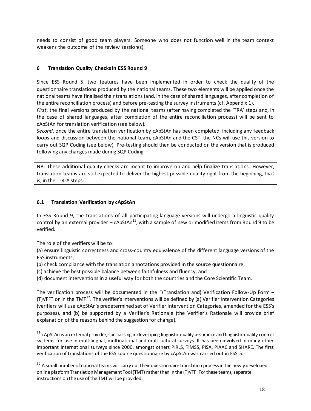needs to consist of good team players. Someone who does not function well in the team context weakens the outcome of the review session(s).

## <span id="page-17-0"></span>**6 Translation Quality Checks in ESS Round 9**

Since ESS Round 5, two features have been implemented in order to check the quality of the questionnaire translations produced by the national teams. These two elements will be applied once the national teams have finalised their translations (and, in the case of shared languages, after completion of the entire reconciliation process) and before pre-testing the survey instruments (cf. Appendix 1).

*First*, the final versions produced by the national teams (after having completed the 'TRA' steps and, in the case of shared languages, after completion of the entire reconciliation process) will be sent to cApStAn for translation verification (see below).

*Second*, once the entire translation verification by cApStAn has been completed, including any feedback loops and discussion between the national team, cApStAn and the CST, the NCs will use this version to carry out SQP Coding (see below). Pre-testing should then be conducted on the version that is produced following any changes made during SQP Coding.

NB: These additional quality checks are meant to improve on and help finalize translations. However, translation teams are still expected to deliver the highest possible quality right from the beginning, that is, in the T-R-A steps.

## <span id="page-17-1"></span>**6.1 Translation Verification by cApStAn**

In ESS Round 9, the translations of all participating language versions will undergo a linguistic quality control by an external provider – cApStAn<sup>11</sup>, with a sample of new or modified items from Round 9 to be verified.

The role of the verifiers will be to:

(a) ensure linguistic correctness and cross-country equivalence of the different language versions of the ESS instruments;

(b) check compliance with the translation annotations provided in the source questionnaire;

(c) achieve the best possible balance between faithfulness and fluency; and

(d) document interventions in a useful way for both the countries and the Core Scientific Team.

The verification process will be documented in the "(Translation and) Verification Follow-Up Form – (T)VFF" or in the TMT<sup>12</sup>. The verifier's interventions will be defined by (a) Verifier Intervention Categories (verifiers will use cApStAn's predetermined set of Verifier Intervention Categories, amended for the ESS's purposes), and (b) be supported by a Verifier's Rationale (the Verifier's Rationale will provide brief explanation of the reasons behind the suggestion for change).

 $\overline{a}$  $11$  cApStAn is an external provider, specialising in developing linguistic quality assurance and linguistic quality control systems for use in multilingual, multinational and multicultural surveys. It has been involved in many other important international surveys since 2000, amongst others PIRLS, TIMSS, PISA, PIAAC and SHARE. The first verification of translations of the ESS source questionnaire by cApStAn was carried out in ESS 5.

 $12$  A small number of national teams will carry out their questionnaire translation process in the newly developed online platform Translation Management Tool (TMT) rather than in the (T)VFF. For these teams, separate instructions on the use of the TMT will be provided.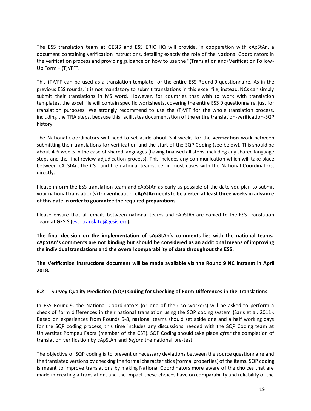The ESS translation team at GESIS and ESS ERIC HQ will provide, in cooperation with cApStAn, a document containing verification instructions, detailing exactly the role of the National Coordinators in the verification process and providing guidance on how to use the "(Translation and) Verification Follow-Up Form – (T)VFF".

This (T)VFF can be used as a translation template for the entire ESS Round 9 questionnaire. As in the previous ESS rounds, it is not mandatory to submit translations in this excel file; instead, NCs can simply submit their translations in MS word. However, for countries that wish to work with translation templates, the excel file will contain specific worksheets, covering the entire ESS 9 questionnaire, just for translation purposes. We strongly recommend to use the (T)VFF for the whole translation process, including the TRA steps, because this facilitates documentation of the entire translation-verification-SQP history.

The National Coordinators will need to set aside about 3-4 weeks for the **verification** work between submitting their translations for verification and the start of the SQP Coding (see below). This should be about 4-6 weeks in the case of shared languages (having finalised all steps, including any shared language steps and the final review-adjudication process). This includes any communication which will take place between cApStAn, the CST and the national teams, i.e. in most cases with the National Coordinators, directly.

Please inform the ESS translation team and cApStAn as early as possible of the date you plan to submit your national translation(s) for verification. **cApStAn needs to be alerted at least three weeks in advance of this date in order to guarantee the required preparations.**

Please ensure that all emails between national teams and cApStAn are copied to the ESS Translation Team at GESIS [\(ess\\_translate@gesis.org\).](mailto:ess_translate@gesis.org)

**The final decision on the implementation of cApStAn's comments lies with the national teams. cApStAn's comments are not binding but should be considered as an additional means of improving the individual translations and the overall comparability of data throughout the ESS.**

**The Verification Instructions document will be made available via the Round 9 NC intranet in April 2018.**

#### <span id="page-18-0"></span>**6.2 Survey Quality Prediction (SQP) Coding for Checking of Form Differences in the Translations**

In ESS Round 9, the National Coordinators (or one of their co-workers) will be asked to perform a check of form differences in their national translation using the SQP coding system (Saris et al. 2011). Based on experiences from Rounds 5-8, national teams should set aside one and a half working days for the SQP coding process, this time includes any discussions needed with the SQP Coding team at Universitat Pompeu Fabra (member of the CST). SQP Coding should take place *after* the completion of translation verification by cApStAn and *before* the national pre-test.

The objective of SQP coding is to prevent unnecessary deviations between the source questionnaire and the translated versions by checking the formal characteristics (formal properties) of the items. SQP coding is meant to improve translations by making National Coordinators more aware of the choices that are made in creating a translation, and the impact these choices have on comparability and reliability of the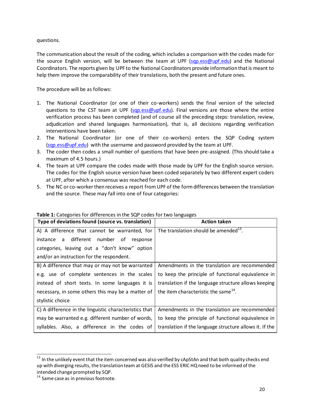questions.

The communication about the result of the coding, which includes a comparison with the codes made for the source English version, will be between the team at UPF [\(sqp.ess@upf.edu\)](https://webmail.gesis.org/owa/redir.aspx?C=E0GyQcGEV76N4KaCluijd4xc2QKzBndFyWRNXd18Jr_EyYg6XJPVCA..&URL=mailto%3asqp.ess%40upf.edu) and the National Coordinators. The reports given by UPF to the National Coordinators provide information that is meant to help them improve the comparability of their translations, both the present and future ones.

The procedure will be as follows:

- 1. The National Coordinator (or one of their co-workers) sends the final version of the selected questions to the CST team at UPF [\(sqp.ess@upf.edu\)](https://webmail.gesis.org/owa/redir.aspx?C=E0GyQcGEV76N4KaCluijd4xc2QKzBndFyWRNXd18Jr_EyYg6XJPVCA..&URL=mailto%3asqp.ess%40upf.edu). Final versions are those where the entire verification process has been completed (and of course all the preceding steps: translation, review, adjudication and shared languages harmonisation), that is, all decisions regarding verification interventions have been taken.
- 2. The National Coordinator (or one of their co-workers) enters the SQP Coding system [\(sqp.ess@upf.edu\)](https://webmail.gesis.org/owa/redir.aspx?C=E0GyQcGEV76N4KaCluijd4xc2QKzBndFyWRNXd18Jr_EyYg6XJPVCA..&URL=mailto%3asqp.ess%40upf.edu) with the username and password provided by the team at UPF.
- 3. The coder then codes a small number of questions that have been pre-assigned. (This should take a maximum of 4.5 hours.)
- 4. The team at UPF compare the codes made with those made by UPF for the English source version. The codes for the English source version have been coded separately by two different expert coders at UPF, after which a consensus was reached for each code.
- 5. The NC or co-worker then receives a report from UPF of the form differences between the translation and the source. These may fall into one of four categories:

| Type of deviations found (source vs. translation)      | <b>Action taken</b>                                     |
|--------------------------------------------------------|---------------------------------------------------------|
| A) A difference that cannot be warranted, for          | The translation should be amended <sup>13</sup> .       |
| different<br>number of<br>instance<br>a<br>response    |                                                         |
| categories, leaving out a "don't know" option          |                                                         |
| and/or an instruction for the respondent.              |                                                         |
| B) A difference that may or may not be warranted       | Amendments in the translation are recommended           |
| e.g. use of complete sentences in the scales           | to keep the principle of functional equivalence in      |
| instead of short texts. In some languages it is        | translation if the language structure allows keeping    |
| necessary, in some others this may be a matter of      | the item characteristic the same <sup>14</sup> .        |
| stylistic choice                                       |                                                         |
| C) A difference in the linguistic characteristics that | Amendments in the translation are recommended           |
| may be warranted e.g. different number of words,       | to keep the principle of functional equivalence in      |
| syllables. Also, a difference in the codes of          | translation if the language structure allows it. If the |

**Table 1:** Categories for differences in the SQP codes for two languages

 $\overline{a}$ 

<sup>&</sup>lt;sup>13</sup> In the unlikely event that the item concerned was also verified by cApStAn and that both quality checks end up with diverging results, the translation team at GESIS and the ESS ERIC HQ need to be informed of the intended change prompted by SQP.

<sup>&</sup>lt;sup>14</sup> Same case as in previous footnote.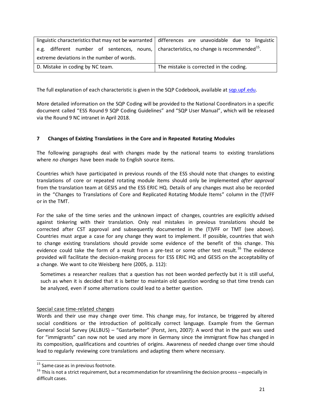|                                                                                                              | linguistic characteristics that may not be warranted $\vert$ differences are unavoidable due to linguistic |
|--------------------------------------------------------------------------------------------------------------|------------------------------------------------------------------------------------------------------------|
| e.g. different number of sentences, nouns, $\vert$ characteristics, no change is recommended <sup>15</sup> . |                                                                                                            |
| extreme deviations in the number of words.                                                                   |                                                                                                            |
| D. Mistake in coding by NC team.                                                                             | The mistake is corrected in the coding.                                                                    |

The full explanation of each characteristic is given in the SQP Codebook, available [at sqp.upf.edu](http://sqp.upf.edu/).

More detailed information on the SQP Coding will be provided to the National Coordinators in a specific document called "ESS Round 9 SQP Coding Guidelines" and "SQP User Manual", which will be released via the Round 9 NC intranet in April 2018.

## <span id="page-20-0"></span>**7 Changes of Existing Translations in the Core and in Repeated Rotating Modules**

The following paragraphs deal with changes made by the national teams to existing translations where *no changes* have been made to English source items.

Countries which have participated in previous rounds of the ESS should note that changes to existing translations of core or repeated rotating module items should only be implemented *after approval* from the translation team at GESIS and the ESS ERIC HQ. Details of any changes must also be recorded in the "Changes to Translations of Core and Replicated Rotating Module Items" column in the (T)VFF or in the TMT.

For the sake of the time series and the unknown impact of changes, countries are explicitly advised against tinkering with their translation. Only real mistakes in previous translations should be corrected after CST approval and subsequently documented in the (T)VFF or TMT (see above). Countries must argue a case for any change they want to implement. If possible, countries that wish to change existing translations should provide some evidence of the benefit of this change. This evidence could take the form of a result from a pre-test or some other test result.<sup>16</sup> The evidence provided will facilitate the decision-making process for ESS ERIC HQ and GESIS on the acceptability of a change. We want to cite Weisberg here (2005, p. 112):

Sometimes a researcher realizes that a question has not been worded perfectly but it is still useful, such as when it is decided that it is better to maintain old question wording so that time trends can be analyzed, even if some alternations could lead to a better question.

#### Special case time-related changes

Words and their use may change over time. This change may, for instance, be triggered by altered social conditions or the introduction of politically correct language. Example from the German General Social Survey (ALLBUS) – "Gastarbeiter" (Porst, Jers, 2007): A word that in the past was used for "immigrants" can now not be used any more in Germany since the immigrant flow has changed in its composition, qualifications and countries of origins. Awareness of needed change over time should lead to regularly reviewing core translations and adapting them where necessary.

 $\overline{a}$ 

<sup>&</sup>lt;sup>15</sup> Same case as in previous footnote.

 $16$  This is not a strict requirement, but a recommendation for streamlining the decision process – especially in difficult cases.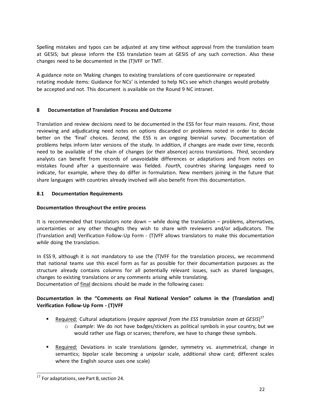Spelling mistakes and typos can be adjusted at any time without approval from the translation team at GESIS; but please inform the ESS translation team at GESIS of any such correction. Also these changes need to be documented in the (T)VFF or TMT.

A guidance note on 'Making changes to existing translations of core questionnaire or repeated rotating module items: Guidance for NCs' is intended to help NCs see which changes would probably be accepted and not. This document is available on the Round 9 NC intranet.

## <span id="page-21-0"></span>**8 Documentation of Translation Process and Outcome**

Translation and review decisions need to be documented in the ESS for four main reasons. *First*, those reviewing and adjudicating need notes on options discarded or problems noted in order to decide better on the 'final' choices. *Second*, the ESS is an ongoing biennial survey. Documentation of problems helps inform later versions of the study. In addition, if changes are made over time, records need to be available of the chain of changes (or their absence) across translations. *Third*, secondary analysts can benefit from records of unavoidable differences or adaptations and from notes on mistakes found after a questionnaire was fielded. *Fourth*, countries sharing languages need to indicate, for example, where they do differ in formulation. New members joining in the future that share languages with countries already involved will also benefit from this documentation.

#### <span id="page-21-1"></span>**8.1 Documentation Requirements**

#### **Documentation throughout the entire process**

It is recommended that translators note down – while doing the translation – problems, alternatives, uncertainties or any other thoughts they wish to share with reviewers and/or adjudicators. The (Translation and) Verification Follow-Up Form - (T)VFF allows translators to make this documentation *while* doing the translation.

In ESS 9, although it is not mandatory to use the (T)VFF for the translation process, we recommend that national teams use this excel form as far as possible for their documentation purposes as the structure already contains columns for all potentially relevant issues, such as shared languages, changes to existing translations or any comments arising while translating. Documentation of final decisions should be made in the following cases:

## **Documentation in the "Comments on Final National Version" column in the (Translation and) Verification Follow-Up Form - (T)VFF**

- **•** Required: Cultural adaptations (*require approval from the ESS translation team at GESIS*)<sup>17</sup>
	- o *Example*: We do not have badges/stickers as political symbols in your country, but we would rather use flags or scarves; therefore, we have to change these symbols.
- **Required:** Deviations in scale translations (gender, symmetry vs. asymmetrical, change in semantics; bipolar scale becoming a unipolar scale, additional show card; different scales where the English source uses one scale)

-

<sup>&</sup>lt;sup>17</sup> For adaptations, see Part B, section 24.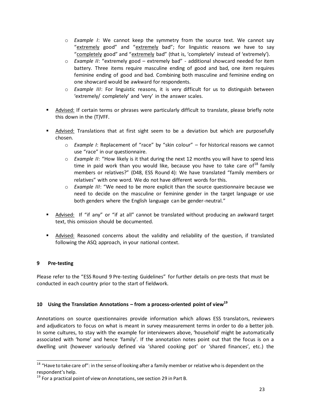- o *Example I*: We cannot keep the symmetry from the source text. We cannot say "extremely good" and "extremely bad"; for linguistic reasons we have to say "completely good" and "extremely bad" (that is, 'completely' instead of 'extremely').
- o *Example II*: "extremely good extremely bad" additional showcard needed for item battery. Three items require masculine ending of good and bad, one item requires feminine ending of good and bad. Combining both masculine and feminine ending on one showcard would be awkward for respondents.
- o *Example III*: For linguistic reasons, it is very difficult for us to distinguish between 'extremely/ completely' and 'very' in the answer scales.
- Advised: If certain terms or phrases were particularly difficult to translate, please briefly note this down in the (T)VFF.
- **Advised:** Translations that at first sight seem to be a deviation but which are purposefully chosen.
	- o *Example I*: Replacement of "race" by "skin colour" for historical reasons we cannot use "race" in our questionnaire.
	- o *Example II*: "How likely is it that during the next 12 months you will have to spend less time in paid work than you would like, because you have to take care of  $18$  family members or relatives?" (D48, ESS Round 4): We have translated "family members or relatives" with one word. We do not have different words for this.
	- o *Example III*: "We need to be more explicit than the source questionnaire because we need to decide on the masculine or feminine gender in the target language or use both genders where the English language can be gender-neutral."
- Advised: If "if any" or "if at all" cannot be translated without producing an awkward target text, this omission should be documented.
- Advised: Reasoned concerns about the validity and reliability of the question, if translated following the ASQ approach, in your national context.

## <span id="page-22-0"></span>**9 Pre-testing**

Please refer to the "ESS Round 9 Pre-testing Guidelines" for further details on pre-tests that must be conducted in each country prior to the start of fieldwork.

## <span id="page-22-1"></span>**10 Using the Translation Annotations – from a process-oriented point of view<sup>19</sup>**

Annotations on source questionnaires provide information which allows ESS translators, reviewers and adjudicators to focus on what is meant in survey measurement terms in order to do a better job. In some cultures, to stay with the example for interviewers above, 'household' might be automatically associated with 'home' and hence 'family'. If the annotation notes point out that the focus is on a dwelling unit (however variously defined via 'shared cooking pot' or 'shared finances', etc.) the

 $\overline{a}$ <sup>18</sup> "Have to take care of": in the sense of looking after a family member or relative who is dependent on the respondent's help.

<sup>&</sup>lt;sup>19</sup> For a practical point of view on Annotations, see section 29 in Part B.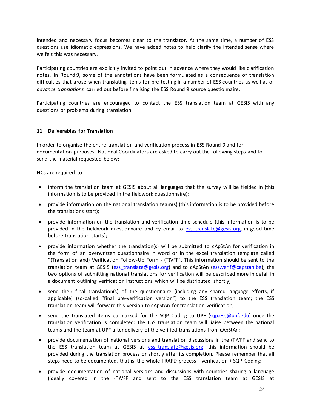intended and necessary focus becomes clear to the translator. At the same time, a number of ESS questions use idiomatic expressions. We have added notes to help clarify the intended sense where we felt this was necessary.

Participating countries are explicitly invited to point out in advance where they would like clarification notes. In Round 9, some of the annotations have been formulated as a consequence of translation difficulties that arose when translating items for pre-testing in a number of ESS countries as well as of *advance translations* carried out before finalising the ESS Round 9 source questionnaire.

Participating countries are encouraged to contact the ESS translation team at GESIS with any questions or problems during translation.

#### <span id="page-23-0"></span>**11 Deliverables for Translation**

In order to organise the entire translation and verification process in ESS Round 9 and for documentation purposes, National Coordinators are asked to carry out the following steps and to send the material requested below:

NCs are required to:

- inform the translation team at GESIS about all languages that the survey will be fielded in (this information is to be provided in the fieldwork questionnaire);
- provide information on the national translation team(s) (this information is to be provided before the translations start);
- provide information on the translation and verification time schedule (this information is to be provided in the fieldwork questionnaire and by email to ess translate@gesis.org, in good time before translation starts);
- provide information whether the translation(s) will be submitted to cApStAn for verification in the form of an overwritten questionnaire in word or in the excel translation template called "(Translation and) Verification Follow-Up Form - (T)VFF". This information should be sent to the translation team at GESIS (ess translate@gesis.org) and to cApStAn [\(ess.verif@capstan.be\)](mailto:ess.verif@capstan.be); the two options of submitting national translations for verification will be described more in detail in a document outlining verification instructions which will be distributed shortly;
- send their final translation(s) of the questionnaire (including any shared language efforts, if applicable) (so-called "final pre-verification version") to the ESS translation team; the ESS translation team will forward this version to cApStAn for translation verification;
- send the translated items earmarked for the SQP Coding to UPF [\(sqp.ess@upf.edu\)](https://webmail.gesis.org/owa/redir.aspx?C=E0GyQcGEV76N4KaCluijd4xc2QKzBndFyWRNXd18Jr_EyYg6XJPVCA..&URL=mailto%3asqp.ess%40upf.edu) once the translation verification is completed: the ESS translation team will liaise between the national teams and the team at UPF after delivery of the verified translations from cApStAn;
- provide documentation of national versions and translation discussions in the (T)VFF and send to the ESS translation team at GESIS at ess translate@gesis.org; this information should be provided during the translation process or shortly after its completion. Please remember that all steps need to be documented, that is, the whole TRAPD process + verification + SQP Coding;
- provide documentation of national versions and discussions with countries sharing a language (ideally covered in the (T)VFF and sent to the ESS translation team at GESIS at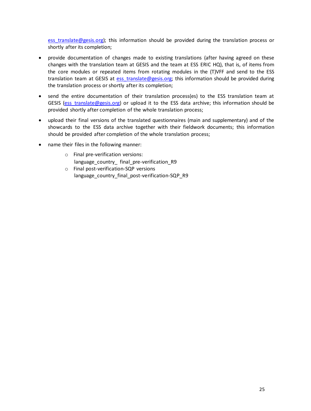ess translate@gesis.org); this information should be provided during the translation process or shortly after its completion;

- provide documentation of changes made to existing translations (after having agreed on these changes with the translation team at GESIS and the team at ESS ERIC HQ), that is, of items from the core modules or repeated items from rotating modules in the (T)VFF and send to the ESS translation team at GESIS at ess translate@gesis.org; this information should be provided during the translation process or shortly after its completion;
- send the entire documentation of their translation process(es) to the ESS translation team at GESIS [\(ess\\_translate@gesis.org\)](mailto:ess_translate@gesis.org) or upload it to the ESS data archive; this information should be provided shortly after completion of the whole translation process;
- upload their final versions of the translated questionnaires (main and supplementary) and of the showcards to the ESS data archive together with their fieldwork documents; this information should be provided after completion of the whole translation process;
- name their files in the following manner:
	- o Final pre-verification versions: language country final pre-verification R9 o Final post-verification-SQP versions
	- language\_country\_final\_post-verification-SQP\_R9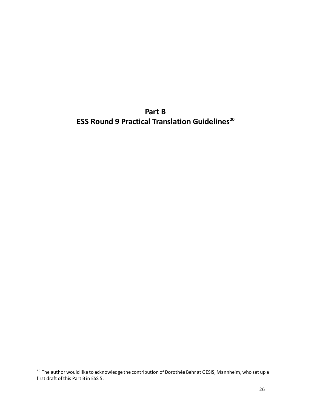**Part B ESS Round 9 Practical Translation Guidelines<sup>20</sup>**

-

<sup>&</sup>lt;sup>20</sup> The author would like to acknowledge the contribution of Dorothée Behr at GESIS, Mannheim, who set up a first draft of this Part B in ESS 5.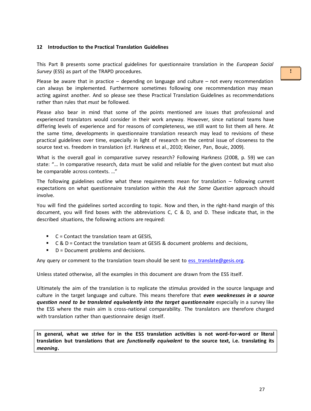#### <span id="page-26-0"></span>**12 Introduction to the Practical Translation Guidelines**

This Part B presents some practical guidelines for questionnaire translation in the *European Social Survey* (ESS) as part of the TRAPD procedures.

Please be aware that in practice  $-$  depending on language and culture  $-$  not every recommendation can always be implemented. Furthermore sometimes following one recommendation may mean acting against another. And so please see these Practical Translation Guidelines as recommendations rather than rules that *must* be followed.

Please also bear in mind that some of the points mentioned are issues that professional and experienced translators would consider in their work anyway. However, since national teams have differing levels of experience and for reasons of completeness, we still want to list them all here. At the same time, developments in questionnaire translation research may lead to revisions of these practical guidelines over time, especially in light of research on the central issue of closeness to the source text vs. freedom in translation (cf. Harkness et al., 2010; Kleiner, Pan, Bouic, 2009).

What is the overall goal in comparative survey research? Following Harkness (2008, p. 59) we can state: "… In comparative research, data must be valid and reliable for the given context but must also be comparable across contexts. …"

The following guidelines outline what these requirements mean for translation – following current expectations on what questionnaire translation within the *Ask the Same Question* approach should involve.

You will find the guidelines sorted according to topic. Now and then, in the right-hand margin of this document, you will find boxes with the abbreviations C, C & D, and D. These indicate that, in the described situations, the following actions are required:

- $C =$  Contact the translation team at GESIS,
- C & D = Contact the translation team at GESIS & document problems and decisions,
- $\blacksquare$  D = Document problems and decisions.

Any query or comment to the translation team should be sent to ess translate@gesis.org.

Unless stated otherwise, all the examples in this document are drawn from the ESS itself.

Ultimately the aim of the translation is to replicate the stimulus provided in the source language and culture in the target language and culture. This means therefore that *even weaknesses in a source question need to be translated equivalently into the target questionnaire* especially in a survey like the ESS where the main aim is cross-national comparability. The translators are therefore charged with translation rather than questionnaire design itself.

**In general, what we strive for in the ESS translation activities is not word-for-word or literal translation but translations that are** *functionally equivalent* **to the source text, i.e. translating its**  *meaning***.**

**!**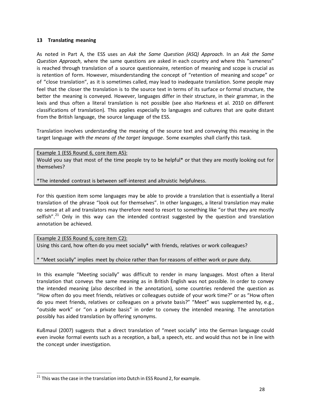#### <span id="page-27-0"></span>**13 Translating meaning**

As noted in Part A, the ESS uses an *Ask the Same Question (ASQ) Approach*. In an *Ask the Same Question Approach*, where the same questions are asked in each country and where this "sameness" is reached through translation of a source questionnaire, retention of meaning and scope is crucial as is retention of form. However, misunderstanding the concept of "retention of meaning and scope" or of "close translation", as it is sometimes called, may lead to inadequate translation. Some people may feel that the closer the translation is to the source text in terms of its surface or formal structure, the better the meaning is conveyed. However, languages differ in their structure, in their grammar, in the lexis and thus often a literal translation is not possible (see also Harkness et al. 2010 on different classifications of translation). This applies especially to languages and cultures that are quite distant from the British language, the source language of the ESS.

Translation involves understanding the meaning of the source text and conveying this meaning in the target language *with the means of the target language*. Some examples shall clarify this task.

Example 1 (ESS Round 6, core item A5): Would you say that most of the time people try to be helpful\* or that they are mostly looking out for themselves?

\*The intended contrast is between self-interest and altruistic helpfulness.

For this question item some languages may be able to provide a translation that is essentially a literal translation of the phrase "look out for themselves". In other languages, a literal translation may make no sense at all and translators may therefore need to resort to something like "or that they are mostly selfish". $21$  Only in this way can the intended contrast suggested by the question and translation annotation be achieved.

Example 2 (ESS Round 6, core item C2): Using this card, how often do you meet socially\* with friends, relatives or work colleagues?

\* "Meet socially" implies meet by choice rather than for reasons of either work or pure duty.

In this example "Meeting socially" was difficult to render in many languages. Most often a literal translation that conveys the same meaning as in British English was not possible. In order to convey the intended meaning (also described in the annotation), some countries rendered the question as "How often do you meet friends, relatives or colleagues outside of your work time?" or as "How often do you meet friends, relatives or colleagues on a private basis?" "Meet" was supplemented by, e.g., "outside work" or "on a private basis" in order to convey the intended meaning. The annotation possibly has aided translation by offering synonyms.

Kußmaul (2007) suggests that a direct translation of "meet socially" into the German language could even invoke formal events such as a reception, a ball, a speech, etc. and would thus not be in line with the concept under investigation.

-

 $21$  This was the case in the translation into Dutch in ESS Round 2, for example.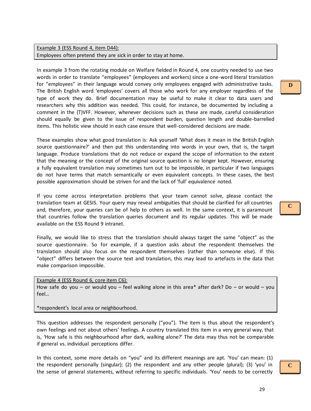Example 3 (ESS Round 4, item D44): Employees often pretend they are sick in order to stay at home.

In example 3 from the rotating module on Welfare fielded in Round 4, one country needed to use two words in order to translate "employees" (employees and workers) since a one-word literal translation for "employees" in their language would convey only employees engaged with administrative tasks. The British English word 'employees' covers all those who work for any employer regardless of the type of work they do. Brief documentation may be useful to make it clear to data users and researchers why this addition was needed. This could, for instance, be documented by including a comment in the (T)VFF. However, whenever decisions such as these are made, careful consideration should equally be given to the issue of respondent burden, question length and double-barrelled items. This holistic view should in each case ensure that well-considered decisions are made.

These examples show what good translation is: Ask yourself 'What does it mean in the British English source questionnaire?' and then put this understanding into words in your own, that is, the target language. Produce translations that do not reduce or expand the scope of information to the extent that the meaning or the concept of the original source question is no longer kept. However, ensuring a fully equivalent translation may sometimes turn out to be impossible, in particular if two languages do not have terms that match semantically or even equivalent concepts. In these cases, the best possible approximation should be striven for and the lack of 'full' equivalence noted.

If you come across interpretation problems that your team cannot solve, please contact the translation team at GESIS. Your query may reveal ambiguities that should be clarified for all countries and, therefore, your queries can be of help to others as well. In the same context, it is paramount that countries follow the translation queries document and its regular updates. This will be made available on the ESS Round 9 intranet.

Finally, we would like to stress that the translation should always target the same "object" as the source questionnaire. So for example, if a question asks about the respondent themselves the translation should also focus on the respondent themselves (rather than someone else). If this "object" differs between the source text and translation, this may lead to artefacts in the data that make comparison impossible.

Example 4 (ESS Round 6, core item C6): How safe do you – or would you – feel walking alone in this area\* after dark? Do – or would – you feel…

\*respondent's local area or neighbourhood.

This question addresses the respondent personally ("you"). The item is thus about the respondent's own feelings and not about others' feelings. A country translated this item in a very general way, that is, 'How safe is this neighbourhood after dark, walking alone?' The data may thus not be comparable if general vs. individual perceptions differ.

In this context, some more details on "you" and its different meanings are apt. 'You' can mean: (1) the respondent personally (singular); (2) the respondent and any other people (plural); (3) 'you' in the sense of general statements, without referring to specific individuals. 'You' needs to be correctly

**D**

**C**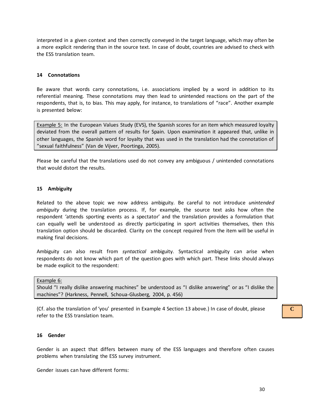interpreted in a given context and then correctly conveyed in the target language, which may often be a more explicit rendering than in the source text. In case of doubt, countries are advised to check with the ESS translation team.

#### <span id="page-29-0"></span>**14 Connotations**

Be aware that words carry connotations, i.e. associations implied by a word in addition to its referential meaning. These connotations may then lead to unintended reactions on the part of the respondents, that is, to bias. This may apply, for instance, to translations of "race". Another example is presented below:

Example 5: In the European Values Study (EVS), the Spanish scores for an item which measured loyalty deviated from the overall pattern of results for Spain. Upon examination it appeared that, unlike in other languages, the Spanish word for loyalty that was used in the translation had the connotation of "sexual faithfulness" (Van de Vijver, Poortinga, 2005).

Please be careful that the translations used do not convey any ambiguous / unintended connotations that would distort the results.

#### <span id="page-29-1"></span>**15 Ambiguity**

Related to the above topic we now address ambiguity. Be careful to not introduce *unintended ambiguity* during the translation process. If, for example, the source text asks how often the respondent 'attends sporting events as a spectator' and the translation provides a formulation that can equally well be understood as directly participating in sport activities themselves, then this translation option should be discarded. Clarity on the concept required from the item will be useful in making final decisions.

Ambiguity can also result from *syntactical* ambiguity. Syntactical ambiguity can arise when respondents do not know which part of the question goes with which part. These links should always be made explicit to the respondent:

Example 6:

Should "I really dislike answering machines" be understood as "I dislike answering" or as "I dislike the machines"? (Harkness, Pennell, Schoua-Glusberg, 2004, p. 456)

(Cf. also the translation of 'you' presented in Example 4 Section 13 above.) In case of doubt, please refer to the ESS translation team.

#### <span id="page-29-2"></span>**16 Gender**

Gender is an aspect that differs between many of the ESS languages and therefore often causes problems when translating the ESS survey instrument.

Gender issues can have different forms: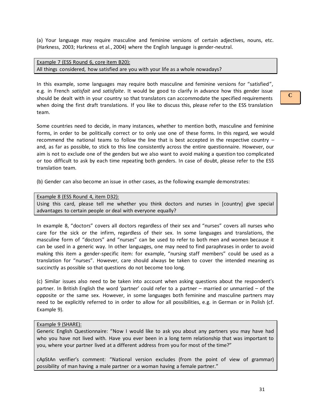(a) Your language may require masculine and feminine versions of certain adjectives, nouns, etc. (Harkness, 2003; Harkness et al., 2004) where the English language is gender-neutral.

Example 7 (ESS Round 6, core item B20): All things considered, how satisfied are you with your life as a whole nowadays?

In this example, some languages may require both masculine and feminine versions for "satisfied", e.g. in French *satisfait* and *satisfaite*. It would be good to clarify in advance how this gender issue should be dealt with in your country so that translators can accommodate the specified requirements when doing the first draft translations. If you like to discuss this, please refer to the ESS translation team.

Some countries need to decide, in many instances, whether to mention both, masculine and feminine forms, in order to be politically correct or to only use one of these forms. In this regard, we would recommend the national teams to follow the line that is best accepted in the respective country – and, as far as possible, to stick to this line consistently across the entire questionnaire. However, our aim is not to exclude one of the genders but we also want to avoid making a question too complicated or too difficult to ask by each time repeating both genders. In case of doubt, please refer to the ESS translation team.

(b) Gender can also become an issue in other cases, as the following example demonstrates:

Example 8 (ESS Round 4, item D32):

Using this card, please tell me whether you think doctors and nurses in [country] give special advantages to certain people or deal with everyone equally?

In example 8, "doctors" covers all doctors regardless of their sex and "nurses" covers all nurses who care for the sick or the infirm, regardless of their sex. In some languages and translations, the masculine form of "doctors" and "nurses" can be used to refer to both men and women because it can be used in a generic way. In other languages, one may need to find paraphrases in order to avoid making this item a gender-specific item: for example, "nursing staff members" could be used as a translation for "nurses". However, care should always be taken to cover the intended meaning as succinctly as possible so that questions do not become too long.

(c) Similar issues also need to be taken into account when asking questions about the respondent's partner. In British English the word 'partner' could refer to a partner – married or unmarried – of the opposite or the same sex. However, in some languages both feminine and masculine partners may need to be explicitly referred to in order to allow for all possibilities, e.g. in German or in Polish (cf. Example 9).

#### Example 9 (SHARE):

Generic English Questionnaire: "Now I would like to ask you about any partners you may have had who you have not lived with. Have you ever been in a long term relationship that was important to you, where your partner lived at a different address from you for most of the time?"

cApStAn verifier's comment: "National version excludes (from the point of view of grammar) possibility of man having a male partner or a woman having a female partner."

**C**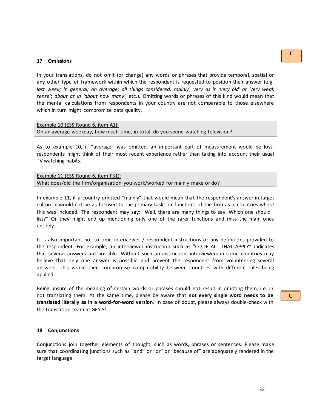#### <span id="page-31-0"></span>**17 Omissions**

In your translations, do not omit (or change) any words or phrases that provide temporal, spatial or any other type of framework within which the respondent is requested to position their answer (e.g. *last week; in general; on average; all things considered; mainly*; *very as in 'very old' or 'very weak sense'*; *about as in 'about how many'*, etc.). Omitting words or phrases of this kind would mean that the mental calculations from respondents in your country are not comparable to those elsewhere which in turn might compromise data quality.

```
Example 10 (ESS Round 6, item A1):
On an average weekday, how much time, in total, do you spend watching television?
```
As to example 10, if "average" was omitted, an important part of measurement would be lost; respondents might think of their most recent experience rather than taking into account their usual TV watching habits.

Example 11 (ESS Round 6, item F31): What does/did the firm/organisation you work/worked for mainly make or do?

In example 11, if a country omitted "mainly" that would mean that the respondent's answer in target culture x would not be as focused to the primary tasks or functions of the firm as in countries where this was included. The respondent may say: "Well, there are many things to say. Which one should I list?" Or they might end up mentioning only one of the rarer functions and miss the main ones entirely.

It is also important not to omit interviewer / respondent instructions or any definitions provided to the respondent. For example, an interviewer instruction such as "CODE ALL THAT APPLY" indicates that several answers are possible. Without such an instruction, interviewers in some countries may believe that only one answer is possible and prevent the respondent from volunteering several answers. This would then compromise comparability between countries with different rules being applied.

Being unsure of the meaning of certain words or phrases should not result in omitting them, i.e. in not translating them. At the same time, please be aware that **not every single word needs to be translated literally as in a word-for-word version**. In case of doubt, please always double-check with the translation team at GESIS!

#### <span id="page-31-1"></span>**18 Conjunctions**

Conjunctions join together elements of thought, such as words, phrases or sentences. Please make sure that coordinating junctions such as "and" or "or" or "because of" are adequately rendered in the target language.

**C**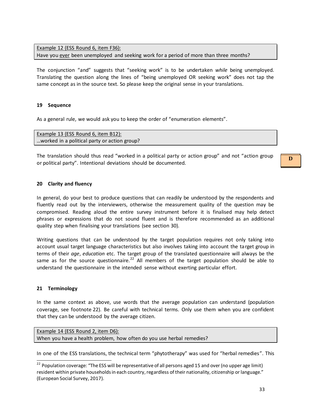Example 12 (ESS Round 6, item F36): Have you ever been unemployed and seeking work for a period of more than three months?

The conjunction "and" suggests that "seeking work" is to be undertaken *while* being unemployed. Translating the question along the lines of "being unemployed OR seeking work" does not tap the same concept as in the source text. So please keep the original sense in your translations.

#### <span id="page-32-0"></span>**19 Sequence**

As a general rule, we would ask you to keep the order of "enumeration elements".

| Example 13 (ESS Round 6, item B12):          |  |
|----------------------------------------------|--|
| worked in a political party or action group? |  |

The translation should thus read "worked in a political party or action group" and not "action group or political party". Intentional deviations should be documented.

#### <span id="page-32-1"></span>**20 Clarity and fluency**

In general, do your best to produce questions that can readily be understood by the respondents and fluently read out by the interviewers, otherwise the measurement quality of the question may be compromised. Reading aloud the entire survey instrument before it is finalised may help detect phrases or expressions that do not sound fluent and is therefore recommended as an additional quality step when finalising your translations (see section 30).

Writing questions that can be understood by the target population requires not only taking into account usual target language characteristics but also involves taking into account the target group in terms of their *age*, *education* etc. The target group of the translated questionnaire will always be the same as for the source questionnaire.<sup>22</sup> All members of the target population should be able to understand the questionnaire in the intended sense without exerting particular effort.

#### <span id="page-32-2"></span>**21 Terminology**

 $\overline{a}$ 

In the same context as above, use words that the average population can understand (population coverage, see footnote 22). Be careful with technical terms. Only use them when you are confident that they can be understood by the average citizen.

```
Example 14 (ESS Round 2, item D6):
When you have a health problem, how often do you use herbal remedies?
```
In one of the ESS translations, the technical term "phytotherapy" was used for "herbal remedies". This

<sup>&</sup>lt;sup>22</sup> Population coverage: "The ESS will be representative of all persons aged 15 and over (no upper age limit) resident within private households in each country, regardless of their nationality, citizenship or language." (European Social Survey, 2017).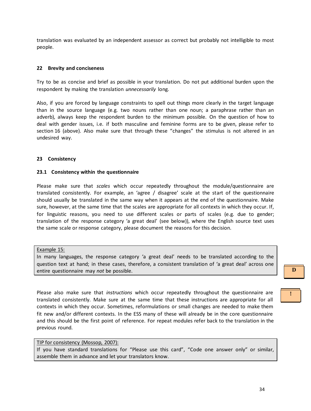translation was evaluated by an independent assessor as correct but probably not intelligible to most people.

#### <span id="page-33-0"></span>**22 Brevity and conciseness**

Try to be as concise and brief as possible in your translation. Do not put additional burden upon the respondent by making the translation *unnecessarily* long.

Also, if you are forced by language constraints to spell out things more clearly in the target language than in the source language (e.g. two nouns rather than one noun; a paraphrase rather than an adverb), always keep the respondent burden to the minimum possible. On the question of how to deal with gender issues, i.e. if both masculine and feminine forms are to be given, please refer to section 16 (above). Also make sure that through these "changes" the stimulus is not altered in an undesired way.

#### <span id="page-33-1"></span>**23 Consistency**

#### <span id="page-33-2"></span>**23.1 Consistency within the questionnaire**

Please make sure that *scales* which occur repeatedly throughout the module/questionnaire are translated consistently. For example, an 'agree / disagree' scale at the start of the questionnaire should usually be translated in the same way when it appears at the end of the questionnaire. Make sure, however, at the same time that the scales are appropriate for all contexts in which they occur. If, for linguistic reasons, you need to use different scales or parts of scales (e.g. due to gender; translation of the response category 'a great deal' (see below)), where the English source text uses the same scale or response category, please document the reasons for this decision.

#### Example 15:

In many languages, the response category 'a great deal' needs to be translated according to the question text at hand; in these cases, therefore, a consistent translation of 'a great deal' across one entire questionnaire may *not* be possible.

Please also make sure that *instructions* which occur repeatedly throughout the questionnaire are translated consistently. Make sure at the same time that these instructions are appropriate for all contexts in which they occur. Sometimes, reformulations or small changes are needed to make them fit new and/or different contexts. In the ESS many of these will already be in the core questionnaire and this should be the first point of reference. For repeat modules refer back to the translation in the previous round.

#### TIP for consistency (Mossop, 2007):

If you have standard translations for "Please use this card", "Code one answer only" or similar, assemble them in advance and let your translators know.

**D**

**!**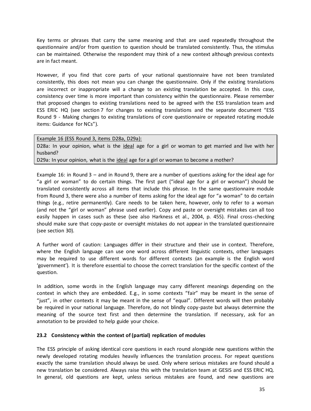Key terms or phrases that carry the same meaning and that are used repeatedly throughout the questionnaire and/or from question to question should be translated consistently. Thus, the stimulus can be maintained. Otherwise the respondent may think of a new context although previous contexts are in fact meant.

However, if you find that core parts of your national questionnaire have not been translated consistently, this does not mean you can change the questionnaire. Only if the existing translations are incorrect or inappropriate will a change to an existing translation be accepted. In this case, consistency over time is more important than consistency within the questionnaire. Please remember that proposed changes to existing translations need to be agreed with the ESS translation team and ESS ERIC HQ (see section 7 for changes to existing translations and the separate document "ESS Round 9 - Making changes to existing translations of core questionnaire or repeated rotating module items: Guidance for NCs").

Example 16 (ESS Round 3, items D28a, D29a):

D28a: In your opinion, what is the ideal age for a girl or woman to get married and live with her husband?

D29a: In your opinion, what is the ideal age for a girl or woman to become a mother?

Example 16: in Round 3 – and in Round 9, there are a number of questions asking for the ideal age for "a girl or woman" to do certain things. The first part ("ideal age for a girl or woman") should be translated consistently across all items that include this phrase. In the same questionnaire module from Round 3, there were also a number of items asking for the ideal age for "a woman" to do certain things (e.g., retire permanently). Care needs to be taken here, however, only to refer to a woman (and not the "girl or woman" phrase used earlier). Copy and paste or oversight mistakes can all too easily happen in cases such as these (see also Harkness et al., 2004, p. 455). Final cross-checking should make sure that copy-paste or oversight mistakes do not appear in the translated questionnaire (see section 30).

A further word of caution: Languages differ in their structure and their use in context. Therefore, where the English language can use one word across different linguistic contexts, other languages may be required to use different words for different contexts (an example is the English word 'government'). It is therefore essential to choose the correct translation for the specific context of the question.

In addition, some words in the English language may carry different meanings depending on the context in which they are embedded. E.g., in some contexts "fair" may be meant in the sense of "just", in other contexts it may be meant in the sense of "equal". Different words will then probably be required in your national language. Therefore, do not blindly copy-paste but always determine the meaning of the source text first and then determine the translation. If necessary, ask for an annotation to be provided to help guide your choice.

#### <span id="page-34-0"></span>**23.2 Consistency within the context of (partial) replication of modules**

The ESS principle of asking identical core questions in each round alongside new questions within the newly developed rotating modules heavily influences the translation process. For repeat questions exactly the same translation should always be used. Only where serious mistakes are found should a new translation be considered. Always raise this with the translation team at GESIS and ESS ERIC HQ. In general, old questions are kept, unless serious mistakes are found, and new questions are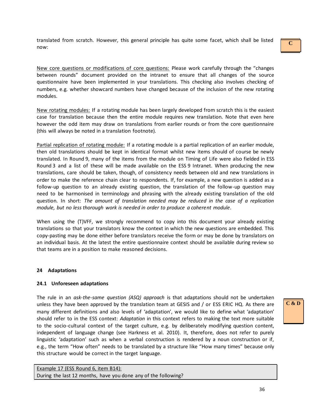translated from scratch. However, this general principle has quite some facet, which shall be listed now:

New core questions or modifications of core questions: Please work carefully through the "changes between rounds" document provided on the intranet to ensure that all changes of the source questionnaire have been implemented in your translations. This checking also involves checking of numbers, e.g. whether showcard numbers have changed because of the inclusion of the new rotating modules.

New rotating modules: If a rotating module has been largely developed from scratch this is the easiest case for translation because then the entire module requires new translation. Note that even here however the odd item may draw on translations from earlier rounds or from the core questionnaire (this will always be noted in a translation footnote).

Partial replication of rotating module: If a rotating module is a partial replication of an earlier module, then old translations should be kept in identical format whilst new items should of course be newly translated. In Round 9, many of the items from the module on Timing of Life were also fielded in ESS Round 3 and a list of these will be made available on the ESS 9 Intranet. When producing the new translations, care should be taken, though, of consistency needs between old and new translations in order to make the reference chain clear to respondents. If, for example, a new question is added as a follow-up question to an already existing question, the translation of the follow-up question may need to be harmonised in terminology and phrasing with the already existing translation of the old question. In short: *The amount of translation needed may be reduced in the case of a replication module, but no less thorough work is needed in order to produce a coherent module*.

When using the (T)VFF, we strongly recommend to copy into this document your already existing translations so that your translators know the context in which the new questions are embedded. This copy-pasting may be done either before translators receive the form or may be done by translators on an individual basis. At the latest the entire questionnaire context should be available during review so that teams are in a position to make reasoned decisions.

#### <span id="page-35-0"></span>**24 Adaptations**

#### <span id="page-35-1"></span>**24.1 Unforeseen adaptations**

The rule in an *ask-the-same question (ASQ) approach* is that adaptations should not be undertaken unless they have been approved by the translation team at GESIS and / or ESS ERIC HQ. As there are many different definitions and also levels of 'adaptation', we would like to define what 'adaptation' should refer to in the ESS context: *Adaptation* in this context refers to making the text more suitable to the socio-cultural context of the target culture, e.g. by deliberately modifying question content, independent of language change (see Harkness et al. 2010). It, therefore, does not refer to purely linguistic 'adaptation' such as when a verbal construction is rendered by a noun construction or if, e.g., the term "How often" needs to be translated by a structure like "How many times" because only this structure would be correct in the target language.

Example 17 (ESS Round 6, item B14): During the last 12 months, have you done any of the following? **C**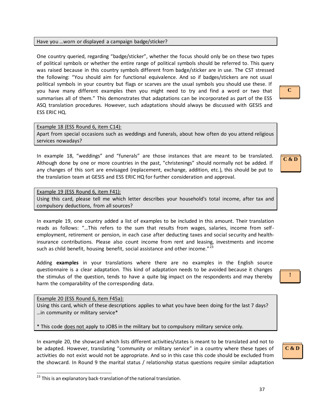#### Have you …worn or displayed a campaign badge/sticker?

One country queried, regarding "badge/sticker", whether the focus should only be on these two types of political symbols or whether the entire range of political symbols should be referred to. This query was raised because in this country symbols different from badge/sticker are in use. The CST stressed the following: "You should aim for functional equivalence. And so if badges/stickers are not usual political symbols in your country but flags or scarves are the usual symbols you should use these. If you have many different examples then you might need to try and find a word or two that summarises all of them." This demonstrates that adaptations can be incorporated as part of the ESS ASQ translation procedures. However, such adaptations should always be discussed with GESIS and ESS ERIC HQ.

## Example 18 (ESS Round 6, item C14):

Apart from special occasions such as weddings and funerals, about how often do you attend religious services nowadays?

In example 18, "weddings" and "funerals" are those instances that are meant to be translated. Although done by one or more countries in the past, "christenings" should normally not be added. If any changes of this sort are envisaged (replacement, exchange, addition, etc.), this should be put to the translation team at GESIS and ESS ERIC HQ for further consideration and approval.

#### Example 19 (ESS Round 6, item F41):

Using this card, please tell me which letter describes your household's total income, after tax and compulsory deductions, from all sources?

In example 19, one country added a list of examples to be included in this amount. Their translation reads as follows: "…This refers to the sum that results from wages, salaries, income from selfemployment, retirement or pension, in each case after deducting taxes and social security and healthinsurance contributions. Please also count income from rent and leasing, investments and income such as child benefit, housing benefit, social assistance and other income."<sup>23</sup>

Adding **examples** in your translations where there are no examples in the English source questionnaire is a clear adaptation. This kind of adaptation needs to be avoided because it changes the stimulus of the question, tends to have a quite big impact on the respondents and may thereby harm the comparability of the corresponding data.

Example 20 (ESS Round 6, item F45a):

Using this card, which of these descriptions applies to what you have been doing for the last 7 days? …in community or military service\*

\* This code does not apply to JOBS in the military but to compulsory military service only.

In example 20, the showcard which lists different activities/states is meant to be translated and not to be adapted. However, translating "community or military service" in a country where these types of activities do not exist would not be appropriate. And so in this case this code should be excluded from the showcard. In Round 9 the marital status / relationship status questions require similar adaptation **C**



**!**

37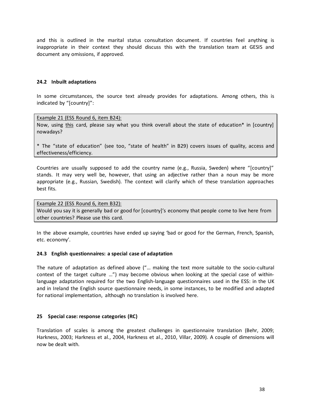and this is outlined in the marital status consultation document. If countries feel anything is inappropriate in their context they should discuss this with the translation team at GESIS and document any omissions, if approved.

#### <span id="page-37-0"></span>**24.2 Inbuilt adaptations**

In some circumstances, the source text already provides for adaptations. Among others, this is indicated by "[country]":

Example 21 (ESS Round 6, item B24):

Now, using this card, please say what you think overall about the state of education\* in [country] nowadays?

\* The "state of education" (see too, "state of health" in B29) covers issues of quality, access and effectiveness/efficiency.

Countries are usually supposed to add the country name (e.g., Russia, Sweden) where "[country]" stands. It may very well be, however, that using an adjective rather than a noun may be more appropriate (e.g., Russian, Swedish). The context will clarify which of these translation approaches best fits.

Example 22 (ESS Round 6, item B32): Would you say it is generally bad or good for [country]'s economy that people come to live here from other countries? Please use this card.

In the above example, countries have ended up saying 'bad or good for the German, French, Spanish, etc. economy'.

#### <span id="page-37-1"></span>**24.3 English questionnaires: a special case of adaptation**

The nature of adaptation as defined above ("… making the text more suitable to the socio-cultural context of the target culture …") may become obvious when looking at the special case of withinlanguage adaptation required for the two English-language questionnaires used in the ESS: in the UK and in Ireland the English source questionnaire needs, in some instances, to be modified and adapted for national implementation, although no translation is involved here.

#### <span id="page-37-2"></span>**25 Special case: response categories (RC)**

Translation of scales is among the greatest challenges in questionnaire translation (Behr, 2009; Harkness, 2003; Harkness et al., 2004, Harkness et al., 2010, Villar, 2009). A couple of dimensions will now be dealt with.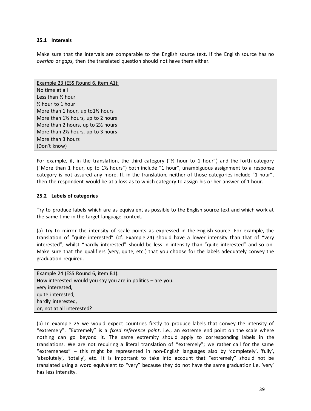#### <span id="page-38-0"></span>**25.1 Intervals**

Make sure that the intervals are comparable to the English source text. If the English source has no *overlap* or *gaps*, then the translated question should not have them either.

Example 23 (ESS Round 6, item A1): No time at all Less than ½ hour ½ hour to 1 hour More than 1 hour, up to1½ hours More than 1½ hours, up to 2 hours More than 2 hours, up to 2½ hours More than 2½ hours, up to 3 hours More than 3 hours (Don't know)

For example, if, in the translation, the third category (" $\frac{1}{2}$  hour to 1 hour") and the forth category ("More than 1 hour, up to  $1\frac{1}{2}$  hours") both include "1 hour", unambiguous assignment to a response category is not assured any more. If, in the translation, neither of those categories include "1 hour", then the respondent would be at a loss as to which category to assign his or her answer of 1 hour.

#### <span id="page-38-1"></span>**25.2 Labels of categories**

Try to produce labels which are as equivalent as possible to the English source text and which work at the same time in the target language context.

(a) Try to mirror the intensity of scale points as expressed in the English source. For example, the translation of "quite interested" (cf. Example 24) should have a lower intensity than that of "very interested", whilst "hardly interested" should be less in intensity than "quite interested" and so on. Make sure that the qualifiers (very, quite, etc.) that you choose for the labels adequately convey the graduation required.

| Example 24 (ESS Round 6, item B1):                           |
|--------------------------------------------------------------|
| How interested would you say you are in politics $-$ are you |
| very interested,                                             |
| quite interested,                                            |
| hardly interested,                                           |
| or, not at all interested?                                   |

(b) In example 25 we would expect countries firstly to produce labels that convey the intensity of "extremely". "Extremely" is a *fixed reference point*, i.e., an extreme end point on the scale where nothing can go beyond it. The same extremity should apply to corresponding labels in the translations. We are not requiring a literal translation of "extremely"; we rather call for the same "extremeness" – this might be represented in non-English languages also by 'completely', 'fully', 'absolutely', 'totally', etc. It is important to take into account that "extremely" should not be translated using a word equivalent to "very" because they do not have the same graduation i.e. 'very' has less intensity.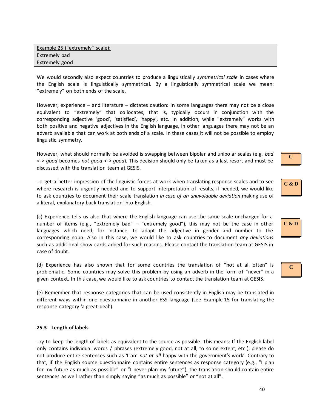We would secondly also expect countries to produce a linguistically *symmetrical scale* in cases where the English scale is linguistically symmetrical. By a linguistically symmetrical scale we mean: "extremely" on both ends of the scale.

However, experience – and literature – dictates caution: In some languages there may not be a close equivalent to "extremely" that collocates, that is, typically occurs in conjunction with the corresponding adjective 'good', 'satisfied', 'happy', etc. In addition, while "extremely" works with both positive and negative adjectives in the English language, in other languages there may not be an adverb available that can work at both ends of a scale. In these cases it will not be possible to employ linguistic symmetry.

However, what should normally be avoided is swapping between bipolar and unipolar scales (e.g. *bad <-> good* becomes *not good <-> good*). This decision should only be taken as a last resort and must be discussed with the translation team at GESIS.

To get a better impression of the linguistic forces at work when translating response scales and to see where research is urgently needed and to support interpretation of results, if needed, we would like to ask countries to document their scale translation *in case of an unavoidable deviation* making use of a literal, explanatory back translation into English.

(c) Experience tells us also that where the English language can use the same scale unchanged for a number of items (e.g., "extremely bad" – "extremely good"), this may not be the case in other languages which need, for instance, to adapt the adjective in gender and number to the corresponding noun. Also in this case, we would like to ask countries to document *any deviations* such as additional show cards added for such reasons. Please contact the translation team at GESIS in case of doubt.

(d) Experience has also shown that for some countries the translation of "not at all often" is problematic. Some countries may solve this problem by using an adverb in the form of "never" in a given context. In this case, we would like to ask countries to contact the translation team at GESIS.

(e) Remember that response categories that can be used consistently in English may be translated in different ways within one questionnaire in another ESS language (see Example 15 for translating the response category 'a great deal').

#### <span id="page-39-0"></span>**25.3 Length of labels**

Try to keep the length of labels as equivalent to the source as possible. This means: If the English label only contains individual words / phrases (extremely good, not at all, to some extent, etc.), please do not produce entire sentences such as 'I am *not at all* happy with the government's work'. Contrary to that, if the English source questionnaire contains entire sentences as response category (e.g., "I plan for my future as much as possible" or "I never plan my future"), the translation should contain entire sentences as well rather than simply saying "as much as possible" or "not at all".

**C & D**

**C**

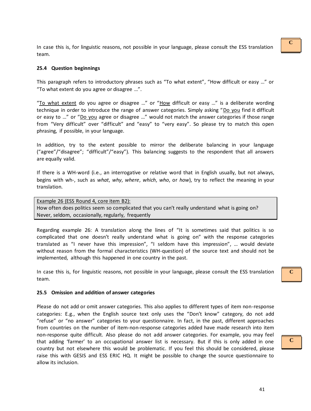In case this is, for linguistic reasons, not possible in your language, please consult the ESS translation team.

#### <span id="page-40-0"></span>**25.4 Question beginnings**

This paragraph refers to introductory phrases such as "To what extent", "How difficult or easy …" or "To what extent do you agree or disagree …".

"To what extent do you agree or disagree ..." or "How difficult or easy ..." is a deliberate wording technique in order to introduce the range of answer categories. Simply asking "Do you find it difficult or easy to …" or "Do you agree or disagree …" would not match the answer categories if those range from "Very difficult" over "difficult" and "easy" to "very easy". So please try to match this open phrasing, if possible, in your language.

In addition, try to the extent possible to mirror the deliberate balancing in your language ("agree"/"disagree"; "difficult"/"easy"). This balancing suggests to the respondent that all answers are equally valid.

If there is a WH-word (i.e., an interrogative or relative word that in English usually, but not always, begins with wh-, such as *what*, *why*, *where*, *which*, *who*, or *how*), try to reflect the meaning in your translation.

Example 26 (ESS Round 4, core item B2): How often does politics seem so complicated that you can't really understand what is going on? Never, seldom, occasionally, regularly, frequently

Regarding example 26: A translation along the lines of "It is sometimes said that politics is so complicated that one doesn't really understand what is going on" with the response categories translated as "I never have this impression", "I seldom have this impression", … would deviate without reason from the formal characteristics (WH-question) of the source text and should not be implemented, although this happened in one country in the past.

In case this is, for linguistic reasons, not possible in your language, please consult the ESS translation team.

#### <span id="page-40-1"></span>**25.5 Omission and addition of answer categories**

Please do not add or omit answer categories. This also applies to different types of item non-response categories: E.g., when the English source text only uses the "Don't know" category, do not add "refuse" or "no answer" categories to your questionnaire. In fact, in the past, different approaches from countries on the number of item-non-response categories added have made research into item non-response quite difficult. Also please do not add answer categories. For example, you may feel that adding 'farmer' to an occupational answer list is necessary. But if this is only added in one country but not elsewhere this would be problematic. If you feel this should be considered, please raise this with GESIS and ESS ERIC HQ. It might be possible to change the source questionnaire to allow its inclusion.

**C**

## **C**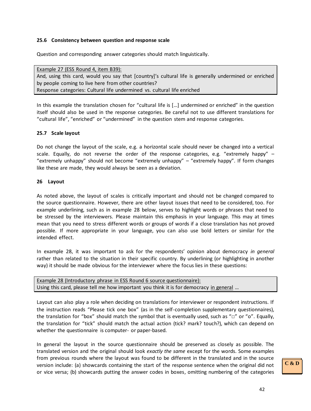#### <span id="page-41-0"></span>**25.6 Consistency between question and response scale**

Question and corresponding answer categories should match linguistically.

Example 27 (ESS Round 4, item B39): And, using this card, would you say that [country]'s cultural life is generally undermined or enriched by people coming to live here from other countries? Response categories: Cultural life undermined vs. cultural life enriched

In this example the translation chosen for "cultural life is […] undermined or enriched" in the question itself should also be used in the response categories. Be careful not to use different translations for "cultural life", "enriched" or "undermined" in the question stem and response categories.

#### <span id="page-41-1"></span>**25.7 Scale layout**

Do not change the layout of the scale, e.g. a horizontal scale should never be changed into a vertical scale. Equally, do not reverse the order of the response categories, e.g. "extremely happy"  $-$ "extremely unhappy" should not become "extremely unhappy" – "extremely happy". If form changes like these are made, they would always be seen as a deviation.

#### <span id="page-41-2"></span>**26 Layout**

As noted above, the layout of scales is critically important and should not be changed compared to the source questionnaire. However, there are other layout issues that need to be considered, too. For example underlining, such as in example 28 below, serves to highlight words or phrases that need to be stressed by the interviewers. Please maintain this emphasis in your language. This may at times mean that you need to stress different words or groups of words if a close translation has not proved possible. If more appropriate in your language, you can also use bold letters or similar for the intended effect.

In example 28, it was important to ask for the respondents' opinion about democracy *in general* rather than related to the situation in their specific country. By underlining (or highlighting in another way) it should be made obvious for the interviewer where the focus lies in these questions:

| Example 28 (Introductory phrase in ESS Round 6 source questionnaire):                  |  |
|----------------------------------------------------------------------------------------|--|
| Using this card, please tell me how important you think it is for democracy in general |  |

Layout can also play a role when deciding on translations for interviewer or respondent instructions. If the instruction reads "Please tick one box" (as in the self-completion supplementary questionnaires), the translation for "box" should match the symbol that is eventually used, such as " $\square$ " or "o". Equally, the translation for "tick" should match the actual action (tick? mark? touch?), which can depend on whether the questionnaire is computer- or paper-based.

In general the layout in the source questionnaire should be preserved as closely as possible. The translated version and the original should look *exactly the same* except for the words. Some examples from previous rounds where the layout was found to be different in the translated and in the source version include: (a) showcards containing the start of the response sentence when the original did not or vice versa; (b) showcards putting the answer codes in boxes, omitting numbering of the categories

## **C & D**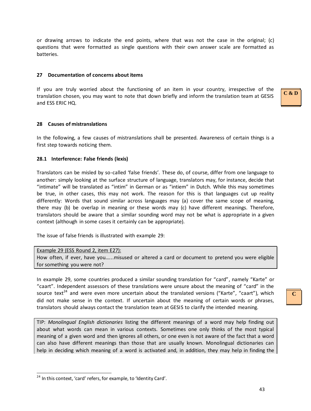or drawing arrows to indicate the end points, where that was not the case in the original; (c) questions that were formatted as single questions with their own answer scale are formatted as batteries.

#### <span id="page-42-0"></span>**27 Documentation of concerns about items**

If you are truly worried about the functioning of an item in your country, irrespective of the translation chosen, you may want to note that down briefly and inform the translation team at GESIS and ESS ERIC HQ.

#### <span id="page-42-1"></span>**28 Causes of mistranslations**

In the following, a few causes of mistranslations shall be presented. Awareness of certain things is a first step towards noticing them.

#### <span id="page-42-2"></span>**28.1 Interference: False friends (lexis)**

Translators can be misled by so-called 'false friends'. These do, of course, differ from one language to another: simply looking at the surface structure of language, translators may, for instance, decide that "intimate" will be translated as "intim" in German or as "intiem" in Dutch. While this may sometimes be true, in other cases, this may not work. The reason for this is that languages cut up reality differently: Words that sound similar across languages may (a) cover the same scope of meaning, there may (b) be overlap in meaning or these words may (c) have different meanings. Therefore, translators should be aware that a similar sounding word may not be what is appropriate in a given context (although in some cases it certainly can be appropriate).

The issue of false friends is illustrated with example 29:

Example 29 (ESS Round 2, item E27): How often, if ever, have you…...misused or altered a card or document to pretend you were eligible for something you were not?

In example 29, some countries produced a similar sounding translation for "card", namely "Karte" or "caart". Independent assessors of these translations were unsure about the meaning of "card" in the source text<sup>24</sup> and were even more uncertain about the translated versions ("Karte", "caart"), which did not make sense in the context. If uncertain about the meaning of certain words or phrases, translators should always contact the translation team at GESIS to clarify the intended meaning.

TIP: *Monolingual English dictionaries* listing the different meanings of a word may help finding out about what words can mean in various contexts. Sometimes one only thinks of the most typical meaning of a given word and then ignores all others, or one even is not aware of the fact that a word can also have different meanings than those that are usually known. Monolingual dictionaries can help in deciding which meaning of a word is activated and, in addition, they may help in finding the

-

## **C**

**C & D**

<sup>&</sup>lt;sup>24</sup> In this context, 'card' refers, for example, to 'Identity Card'.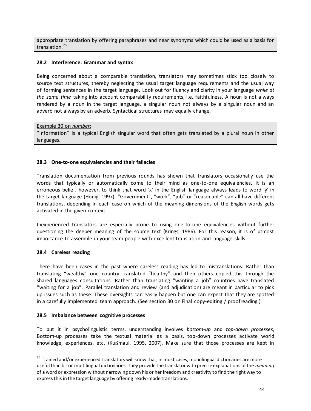appropriate translation by offering paraphrases and near synonyms which could be used as a basis for translation.<sup>25</sup>

#### <span id="page-43-0"></span>**28.2 Interference: Grammar and syntax**

Being concerned about a comparable translation, translators may sometimes stick too closely to source text structures, thereby neglecting the usual target language requirements and the usual way of forming sentences in the target language. Look out for fluency and clarity in your language *while at the same time* taking into account comparability requirements, i.e. faithfulness. A noun is not always rendered by a noun in the target language, a singular noun not always by a singular noun and an adverb not always by an adverb. Syntactical structures may equally change.

#### Example 30 on *number*:

"Information" is a typical English singular word that often gets translated by a plural noun in other languages.

#### <span id="page-43-1"></span>**28.3 One-to-one equivalencies and their fallacies**

Translation documentation from previous rounds has shown that translators occasionally use the words that typically or automatically come to their mind as one-to-one equivalencies. It is an erroneous belief, however, to think that word 'x' in the English language always leads to word 'y' in the target language (Hönig, 1997). "Government", "work", "job" or "reasonable" can all have different translations, depending in each case on which of the meaning dimensions of the English words gets activated in the given context.

Inexperienced translators are especially prone to using one-to-one equivalencies without further questioning the deeper meaning of the source text (Krings, 1986). For this reason, it is of utmost importance to assemble in your team people with excellent translation and language skills.

#### <span id="page-43-2"></span>**28.4 Careless reading**

 $\overline{a}$ 

There have been cases in the past where careless reading has led to mistranslations. Rather than translating "wealthy" one country translated "healthy" and then others copied this through the shared languages consultations. Rather than translating "wanting a job" countries have translated "waiting for a job". Parallel translation and review (and adjudication) are meant in particular to pick up issues such as these. These oversights can easily happen but one can expect that they are spotted in a carefully implemented team approach. (See section 30 on Final copy-editing / proofreading.)

#### <span id="page-43-3"></span>**28.5 Imbalance between cognitive processes**

To put it in psycholinguistic terms, understanding involves *bottom-up* and *top-down processes*, Bottom-up processes take the textual material as a basis, top-down processes activate world knowledge, experiences, etc. (Kußmaul, 1995, 2007). Make sure that those processes are kept in

<sup>&</sup>lt;sup>25</sup> Trained and/or experienced translators will know that, in most cases, monolingual dictionaries are more useful than bi- or multilingual dictionaries: They provide the translator with precise explanations of the *meaning* of a word or expression without narrowing down his or her freedom and creativity to find the right way to express this in the target language by offering ready-made translations.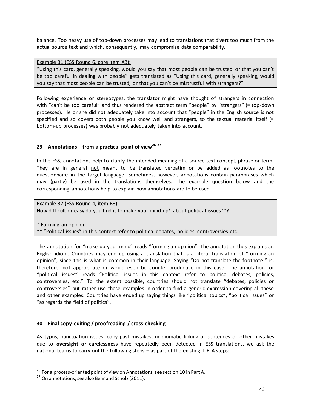balance. Too heavy use of top-down processes may lead to translations that divert too much from the actual source text and which, consequently, may compromise data comparability.

Example 31 (ESS Round 6, core item A3): "Using this card, generally speaking, would you say that most people can be trusted, or that you can't be too careful in dealing with people" gets translated as "Using this card, generally speaking, would you say that most people can be trusted, or that you can't be mistrustful with strangers?"

Following experience or stereotypes, the translator might have thought of strangers in connection with "can't be too careful" and thus rendered the abstract term "people" by "strangers" (= top-down processes). He or she did not adequately take into account that "people" in the English source is not specified and so covers both people you know well and strangers, so the textual material itself (= bottom-up processes) was probably not adequately taken into account.

## <span id="page-44-0"></span>**29 Annotations – from a practical point of view<sup>26</sup> <sup>27</sup>**

In the ESS, annotations help to clarify the intended meaning of a source text concept, phrase or term. They are in general not meant to be translated verbatim or be added as footnotes to the questionnaire in the target language. Sometimes, however, annotations contain paraphrases which may (partly) be used in the translations themselves. The example question below and the corresponding annotations help to explain how annotations are to be used.

Example 32 (ESS Round 4, item B3): How difficult or easy do you find it to make your mind up\* about political issues\*\*?

\* Forming an opinion \*\* "Political issues" in this context refer to political debates, policies, controversies etc.

The annotation for "make up your mind" reads "forming an opinion". The annotation thus explains an English idiom. Countries may end up using a translation that is a literal translation of "forming an opinion", since this is what is common in their language. Saying "Do not translate the footnote!" is, therefore, not appropriate or would even be counter-productive in this case. The annotation for "political issues" reads "Political issues in this context refer to political debates, policies, controversies, etc." To the extent possible, countries should not translate "debates, policies or controversies" but rather use these examples in order to find a generic expression covering all these and other examples. Countries have ended up saying things like "political topics", "political issues" or "as regards the field of politics".

## <span id="page-44-1"></span>**30 Final copy-editing / proofreading / cross-checking**

As typos, punctuation issues, copy-past mistakes, unidiomatic linking of sentences or other mistakes due to **oversight or carelessness** have repeatedly been detected in ESS translations, we ask the national teams to carry out the following steps – as part of the existing T-R-A steps:

-

 $^{26}$  For a process-oriented point of view on Annotations, see section 10 in Part A.

<sup>&</sup>lt;sup>27</sup> On annotations, see also Behr and Scholz (2011).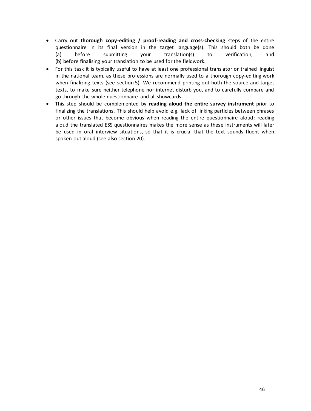- Carry out **thorough copy-editing / proof-reading and cross-checking** steps of the entire questionnaire in its final version in the target language(s). This should both be done (a) before submitting your translation(s) to verification, and (b) before finalising your translation to be used for the fieldwork.
- For this task it is typically useful to have at least one professional translator or trained linguist in the national team, as these professions are normally used to a thorough copy-editing work when finalizing texts (see section 5). We recommend printing out both the source and target texts, to make sure neither telephone nor internet disturb you, and to carefully compare and go through the whole questionnaire and all showcards.
- This step should be complemented by **reading aloud the entire survey instrument** prior to finalizing the translations. This should help avoid e.g. lack of linking particles between phrases or other issues that become obvious when reading the entire questionnaire aloud; reading aloud the translated ESS questionnaires makes the more sense as these instruments will later be used in oral interview situations, so that it is crucial that the text sounds fluent when spoken out aloud (see also section 20).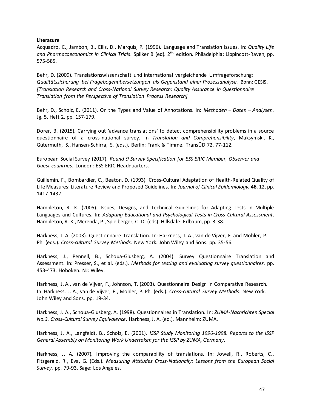#### <span id="page-46-0"></span>**Literature**

Acquadro, C., Jambon, B., Ellis, D., Marquis, P. (1996). Language and Translation Issues. In: *Quality Life*  and Pharmacoeconomics in Clinical Trials. Spilker B (ed). 2<sup>nd</sup> edition. Philadelphia: Lippincott-Raven, pp. 575-585.

Behr, D. (2009). Translationswissenschaft und international vergleichende Umfrageforschung: *Qualitätssicherung bei Fragebogenübersetzungen als Gegenstand einer Prozessanalyse.* Bonn: GESIS. *[Translation Research and Cross-National Survey Research: Quality Assurance in Questionnaire Translation from the Perspective of Translation Process Research]*

Behr, D., Scholz, E. (2011). On the Types and Value of Annotations. In: *Methoden – Daten – Analysen.*  Jg. 5, Heft 2, pp. 157-179.

Dorer, B. (2015). Carrying out 'advance translations' to detect comprehensibility problems in a source questionnaire of a cross-national survey. In *Translation and Comprehensibility*, Maksymski, K., Gutermuth, S., Hansen-Schirra, S. (eds.). Berlin: Frank & Timme. TransÜD 72, 77-112.

European Social Survey (2017). *Round 9 Survey Specification for ESS ERIC Member, Observer and Guest countries*. London: ESS ERIC Headquarters.

Guillemin, F., Bombardier, C., Beaton, D. (1993). Cross-Cultural Adaptation of Health-Related Quality of Life Measures: Literature Review and Proposed Guidelines. In: *Journal of Clinical Epidemiology,* **46**, 12, pp. 1417-1432.

Hambleton, R. K. (2005). Issues, Designs, and Technical Guidelines for Adapting Tests in Multiple Languages and Cultures. In: *Adapting Educational and Psychological Tests in Cross-Cultural Assessment*. Hambleton, R. K., Merenda, P., Spielberger, C. D. (eds). Hillsdale: Erlbaum, pp. 3-38.

Harkness, J. A. (2003). Questionnaire Translation. In: Harkness, J. A., van de Vijver, F. and Mohler, P. Ph. (eds.). *Cross-cultural Survey Methods*. New York. John Wiley and Sons. pp. 35-56.

Harkness, J., Pennell, B., Schoua-Glusberg, A. (2004). Survey Questionnaire Translation and Assessment. In: Presser, S., et al. (eds.). *Methods for testing and evaluating survey questionnaires.* pp. 453-473. Hoboken. NJ: Wiley.

Harkness, J. A., van de Vijver, F., Johnson, T. (2003). Questionnaire Design in Comparative Research. In: Harkness, J. A., van de Vijver, F., Mohler, P. Ph. (eds.). *Cross-cultural Survey Methods*: New York. John Wiley and Sons. pp. 19-34.

Harkness, J. A., Schoua-Glusberg, A. (1998). Questionnaires in Translation. In: *ZUMA-Nachrichten Spezial No.3. Cross-Cultural Survey Equivalence*. Harkness, J. A. (ed.). Mannheim: ZUMA.

Harkness, J. A., Langfeldt, B., Scholz, E. (2001). *ISSP Study Monitoring 1996-1998. Reports to the ISSP General Assembly on Monitoring Work Undertaken for the ISSP by ZUMA, Germany*.

Harkness, J. A. (2007). Improving the comparability of translations. In: Jowell, R., Roberts, C., Fitzgerald, R., Eva, G. (Eds.). *Measuring Attitudes Cross-Nationally: Lessons from the European Social Survey.* pp. 79-93. Sage: Los Angeles.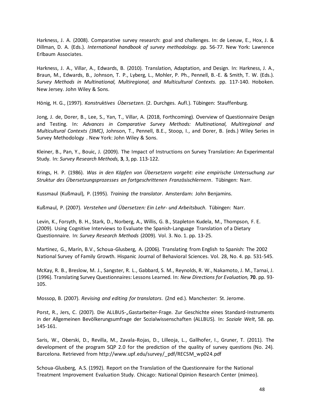Harkness, J. A. (2008). Comparative survey research: goal and challenges. In: de Leeuw, E., Hox, J. & Dillman, D. A. (Eds.). *International handbook of survey methodology.* pp. 56-77. New York: Lawrence Erlbaum Associates.

Harkness, J. A., Villar, A., Edwards, B. (2010). Translation, Adaptation, and Design. In: Harkness, J. A., Braun, M., Edwards, B., Johnson, T. P., Lyberg, L., Mohler, P. Ph., Pennell, B.-E. & Smith, T. W. (Eds.). *Survey Methods in Multinational, Multiregional, and Multicultural Contexts.* pp. 117-140. Hoboken. New Jersey. John Wiley & Sons.

Hönig, H. G., (1997). *Konstruktives Übersetzen*. (2. Durchges. Aufl.). Tübingen: Stauffenburg.

Jong, J. de, Dorer, B., Lee, S., Yan, T., Villar, A. (2018, Forthcoming). Overview of Questionnaire Design and Testing. In: *Advances in Comparative Survey Methods: Multinational, Multiregional and Multicultural Contexts (3MC)*, Johnson, T., Pennell, B.E., Stoop, I., and Dorer, B. (eds.) Wiley Series in Survey Methodology . New York: John Wiley & Sons.

Kleiner, B., Pan, Y., Bouic, J. (2009). The Impact of Instructions on Survey Translation: An Experimental Study. In: *Survey Research Methods,* **3**, 3, pp. 113-122.

Krings, H. P. (1986). *Was in den Köpfen von Übersetzern vorgeht: eine empirische Untersuchung zur Struktur des Übersetzungsprozesses an fortgeschrittenen Französischlernern*. Tübingen: Narr.

Kussmaul (Kußmaul), P. (1995). *Training the translator*. Amsterdam: John Benjamins.

Kußmaul, P. (2007). *Verstehen und Übersetzen: Ein Lehr- und Arbeitsbuch*. Tübingen: Narr.

Levin, K., Forsyth, B. H., Stark, D., Norberg, A., Willis, G. B., Stapleton Kudela, M., Thompson, F. E. (2009). Using Cognitive Interviews to Evaluate the Spanish-Language Translation of a Dietary Questionnaire. In: *Survey Research Methods* (2009). Vol. 3. No. 1. pp. 13-25.

Martinez, G., Marín, B.V., Schoua-Glusberg, A. (2006). Translating from English to Spanish: The 2002 National Survey of Family Growth. Hispanic Journal of Behavioral Sciences. Vol. 28, No. 4. pp. 531-545.

McKay, R. B., Breslow, M. J., Sangster, R. L., Gabbard, S. M., Reynolds, R. W., Nakamoto, J. M., Tarnai, J. (1996). Translating Survey Questionnaires: Lessons Learned. In: *New Directions for Evaluation,* **70**. pp. 93- 105.

Mossop, B. (2007). *Revising and editing for translators*. (2nd ed.). Manchester: St. Jerome.

Porst, R., Jers, C. (2007). Die ALLBUS-"Gastarbeiter-Frage. Zur Geschichte eines Standard-Instruments in der Allgemeinen Bevölkerungsumfrage der Sozialwissenschaften (ALLBUS). In: *Soziale Welt*, 58. pp. 145-161.

Saris, W., Oberski, D., Revilla, M., Zavala-Rojas, D., Lilleoja, L., Gallhofer, I., Gruner, T. (2011). The development of the program SQP 2.0 for the prediction of the quality of survey questions (No. 24). Barcelona. Retrieved from http://www.upf.edu/survey/\_pdf/RECSM\_wp024.pdf

Schoua-Glusberg, A.S. (1992). Report on the Translation of the Questionnaire for the National Treatment Improvement Evaluation Study. Chicago: National Opinion Research Center (mimeo).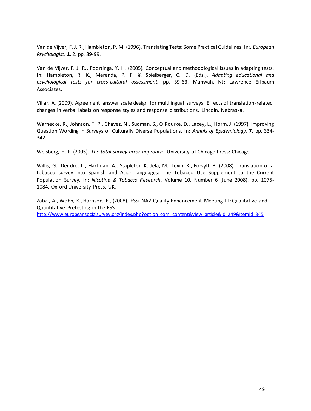Van de Vijver, F. J. R., Hambleton, P. M. (1996). Translating Tests: Some Practical Guidelines. In:. *European Psychologist,* **1**, 2. pp. 89-99.

Van de Vijver, F. J. R., Poortinga, Y. H. (2005). Conceptual and methodological issues in adapting tests. In: Hambleton, R. K., Merenda, P. F. & Spielberger, C. D. (Eds.). *Adapting educational and psychological tests for cross-cultural assessment.* pp. 39-63. Mahwah, NJ: Lawrence Erlbaum Associates.

Villar, A. (2009). Agreement answer scale design for multilingual surveys: Effects of translation-related changes in verbal labels on response styles and response distributions. Lincoln, Nebraska.

Warnecke, R., Johnson, T. P., Chavez, N., Sudman, S., O`Rourke, D., Lacey, L., Horm, J. (1997). Improving Question Wording in Surveys of Culturally Diverse Populations. In: *Annals of Epidemiology,* **7**. pp. 334- 342.

Weisberg, H. F. (2005). *The total survey error approach*. University of Chicago Press: Chicago

Willis, G., Deirdre, L., Hartman, A., Stapleton Kudela, M., Levin, K., Forsyth B. (2008). Translation of a tobacco survey into Spanish and Asian languages: The Tobacco Use Supplement to the Current Population Survey. In: *Nicotine & Tobacco Research*. Volume 10. Number 6 (June 2008). pp. 1075- 1084. Oxford University Press, UK.

Zabal, A., Wohn, K., Harrison, E., (2008). ESSi-NA2 Quality Enhancement Meeting III: Qualitative and Quantitative Pretesting in the ESS.

[http://www.europeansocialsurvey.org/index.php?option=com\\_content&view=article&id=249&Itemid=345](http://www.europeansocialsurvey.org/index.php?option=com_content&view=article&id=249&Itemid=345)